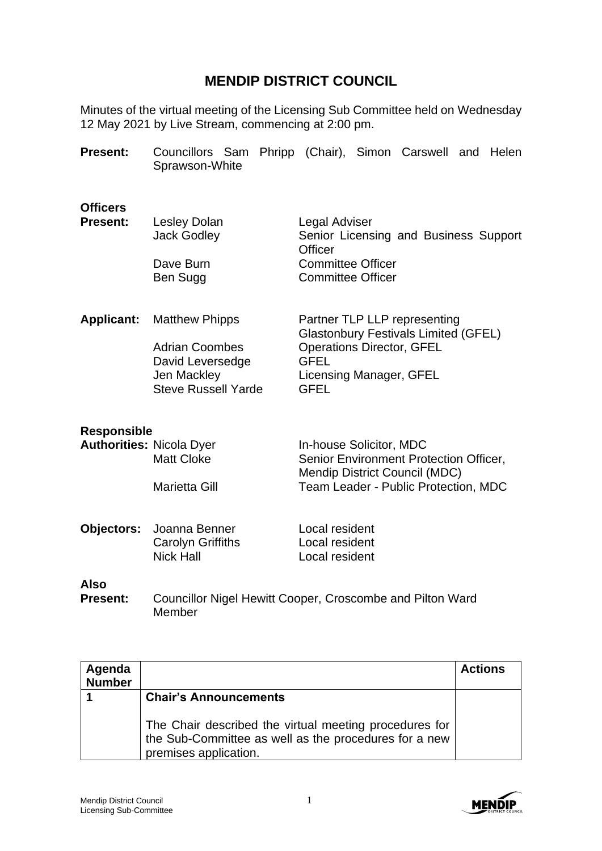## **MENDIP DISTRICT COUNCIL**

Minutes of the virtual meeting of the Licensing Sub Committee held on Wednesday 12 May 2021 by Live Stream, commencing at 2:00 pm.

| <b>Present:</b>                    | Sprawson-White                                                                                                  | Councillors Sam Phripp (Chair), Simon Carswell and Helen                                                                                                                 |
|------------------------------------|-----------------------------------------------------------------------------------------------------------------|--------------------------------------------------------------------------------------------------------------------------------------------------------------------------|
| <b>Officers</b><br><b>Present:</b> | Lesley Dolan<br><b>Jack Godley</b><br>Dave Burn<br>Ben Sugg                                                     | Legal Adviser<br>Senior Licensing and Business Support<br><b>Officer</b><br><b>Committee Officer</b><br><b>Committee Officer</b>                                         |
| <b>Applicant:</b>                  | <b>Matthew Phipps</b><br><b>Adrian Coombes</b><br>David Leversedge<br>Jen Mackley<br><b>Steve Russell Yarde</b> | Partner TLP LLP representing<br><b>Glastonbury Festivals Limited (GFEL)</b><br><b>Operations Director, GFEL</b><br><b>GFEL</b><br>Licensing Manager, GFEL<br><b>GFEL</b> |
| <b>Responsible</b>                 |                                                                                                                 |                                                                                                                                                                          |
| <b>Authorities: Nicola Dyer</b>    | <b>Matt Cloke</b><br><b>Marietta Gill</b>                                                                       | In-house Solicitor, MDC<br>Senior Environment Protection Officer,<br>Mendip District Council (MDC)<br>Team Leader - Public Protection, MDC                               |
| Objectors:                         | Joanna Benner<br><b>Carolyn Griffiths</b><br><b>Nick Hall</b>                                                   | Local resident<br>Local resident<br>Local resident                                                                                                                       |
| <b>Also</b>                        |                                                                                                                 |                                                                                                                                                                          |
| <b>Present:</b>                    | Member                                                                                                          | Councillor Nigel Hewitt Cooper, Croscombe and Pilton Ward                                                                                                                |

| Agenda<br><b>Number</b> |                                                                                                                                                                          | <b>Actions</b> |
|-------------------------|--------------------------------------------------------------------------------------------------------------------------------------------------------------------------|----------------|
|                         | <b>Chair's Announcements</b><br>The Chair described the virtual meeting procedures for<br>the Sub-Committee as well as the procedures for a new<br>premises application. |                |

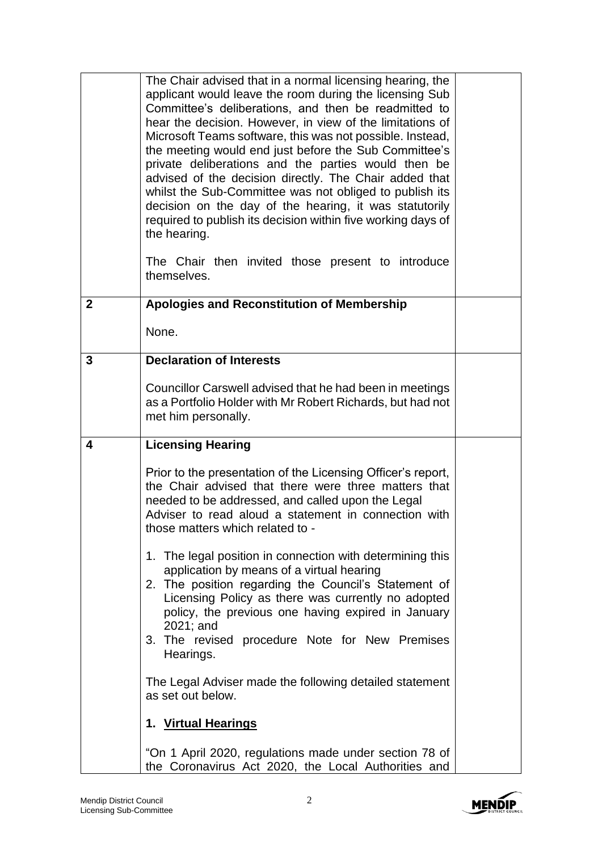|              | The Chair advised that in a normal licensing hearing, the<br>applicant would leave the room during the licensing Sub<br>Committee's deliberations, and then be readmitted to<br>hear the decision. However, in view of the limitations of<br>Microsoft Teams software, this was not possible. Instead,<br>the meeting would end just before the Sub Committee's<br>private deliberations and the parties would then be<br>advised of the decision directly. The Chair added that<br>whilst the Sub-Committee was not obliged to publish its<br>decision on the day of the hearing, it was statutorily<br>required to publish its decision within five working days of<br>the hearing.<br>The Chair then invited those present to introduce<br>themselves. |  |
|--------------|-----------------------------------------------------------------------------------------------------------------------------------------------------------------------------------------------------------------------------------------------------------------------------------------------------------------------------------------------------------------------------------------------------------------------------------------------------------------------------------------------------------------------------------------------------------------------------------------------------------------------------------------------------------------------------------------------------------------------------------------------------------|--|
| $\mathbf{2}$ | Apologies and Reconstitution of Membership                                                                                                                                                                                                                                                                                                                                                                                                                                                                                                                                                                                                                                                                                                                |  |
|              | None.                                                                                                                                                                                                                                                                                                                                                                                                                                                                                                                                                                                                                                                                                                                                                     |  |
| 3            | <b>Declaration of Interests</b>                                                                                                                                                                                                                                                                                                                                                                                                                                                                                                                                                                                                                                                                                                                           |  |
|              | Councillor Carswell advised that he had been in meetings<br>as a Portfolio Holder with Mr Robert Richards, but had not<br>met him personally.                                                                                                                                                                                                                                                                                                                                                                                                                                                                                                                                                                                                             |  |
| 4            | <b>Licensing Hearing</b>                                                                                                                                                                                                                                                                                                                                                                                                                                                                                                                                                                                                                                                                                                                                  |  |
|              | Prior to the presentation of the Licensing Officer's report,<br>the Chair advised that there were three matters that<br>needed to be addressed, and called upon the Legal<br>Adviser to read aloud a statement in connection with<br>those matters which related to -                                                                                                                                                                                                                                                                                                                                                                                                                                                                                     |  |
|              | 1. The legal position in connection with determining this<br>application by means of a virtual hearing<br>2. The position regarding the Council's Statement of<br>Licensing Policy as there was currently no adopted<br>policy, the previous one having expired in January<br>2021; and<br>3. The revised procedure Note for New Premises<br>Hearings.                                                                                                                                                                                                                                                                                                                                                                                                    |  |
|              | The Legal Adviser made the following detailed statement<br>as set out below.                                                                                                                                                                                                                                                                                                                                                                                                                                                                                                                                                                                                                                                                              |  |
|              | 1. Virtual Hearings                                                                                                                                                                                                                                                                                                                                                                                                                                                                                                                                                                                                                                                                                                                                       |  |
|              | "On 1 April 2020, regulations made under section 78 of<br>the Coronavirus Act 2020, the Local Authorities and                                                                                                                                                                                                                                                                                                                                                                                                                                                                                                                                                                                                                                             |  |

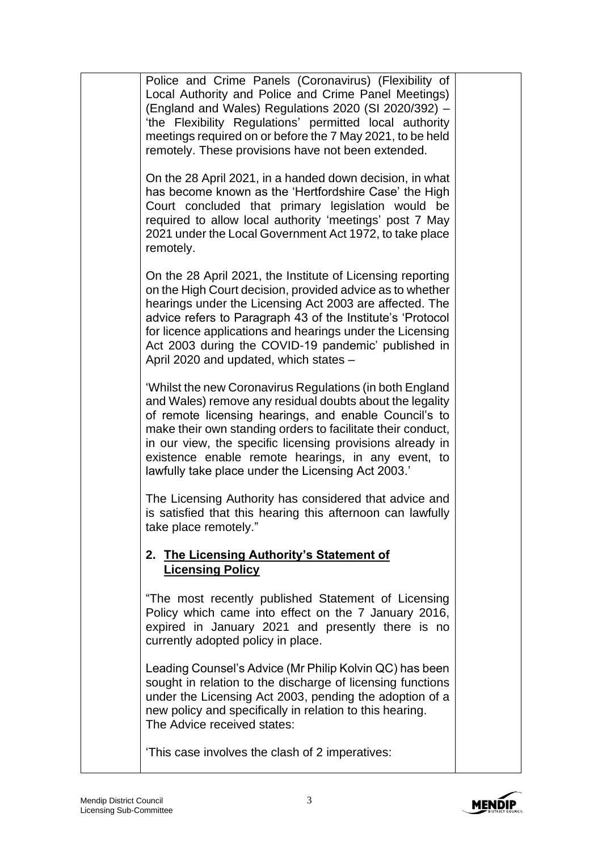| Police and Crime Panels (Coronavirus) (Flexibility of<br>Local Authority and Police and Crime Panel Meetings)<br>(England and Wales) Regulations 2020 (SI 2020/392) -<br>'the Flexibility Regulations' permitted local authority<br>meetings required on or before the 7 May 2021, to be held<br>remotely. These provisions have not been extended.                                                                   |  |
|-----------------------------------------------------------------------------------------------------------------------------------------------------------------------------------------------------------------------------------------------------------------------------------------------------------------------------------------------------------------------------------------------------------------------|--|
| On the 28 April 2021, in a handed down decision, in what<br>has become known as the 'Hertfordshire Case' the High<br>Court concluded that primary legislation would be<br>required to allow local authority 'meetings' post 7 May<br>2021 under the Local Government Act 1972, to take place<br>remotely.                                                                                                             |  |
| On the 28 April 2021, the Institute of Licensing reporting<br>on the High Court decision, provided advice as to whether<br>hearings under the Licensing Act 2003 are affected. The<br>advice refers to Paragraph 43 of the Institute's 'Protocol<br>for licence applications and hearings under the Licensing<br>Act 2003 during the COVID-19 pandemic' published in<br>April 2020 and updated, which states -        |  |
| 'Whilst the new Coronavirus Regulations (in both England<br>and Wales) remove any residual doubts about the legality<br>of remote licensing hearings, and enable Council's to<br>make their own standing orders to facilitate their conduct,<br>in our view, the specific licensing provisions already in<br>existence enable remote hearings, in any event, to<br>lawfully take place under the Licensing Act 2003.' |  |
| The Licensing Authority has considered that advice and<br>is satisfied that this hearing this afternoon can lawfully<br>take place remotely."                                                                                                                                                                                                                                                                         |  |
| 2. The Licensing Authority's Statement of<br><b>Licensing Policy</b>                                                                                                                                                                                                                                                                                                                                                  |  |
| "The most recently published Statement of Licensing<br>Policy which came into effect on the 7 January 2016,<br>expired in January 2021 and presently there is no<br>currently adopted policy in place.                                                                                                                                                                                                                |  |
| Leading Counsel's Advice (Mr Philip Kolvin QC) has been<br>sought in relation to the discharge of licensing functions<br>under the Licensing Act 2003, pending the adoption of a<br>new policy and specifically in relation to this hearing.<br>The Advice received states:                                                                                                                                           |  |
| 'This case involves the clash of 2 imperatives:                                                                                                                                                                                                                                                                                                                                                                       |  |

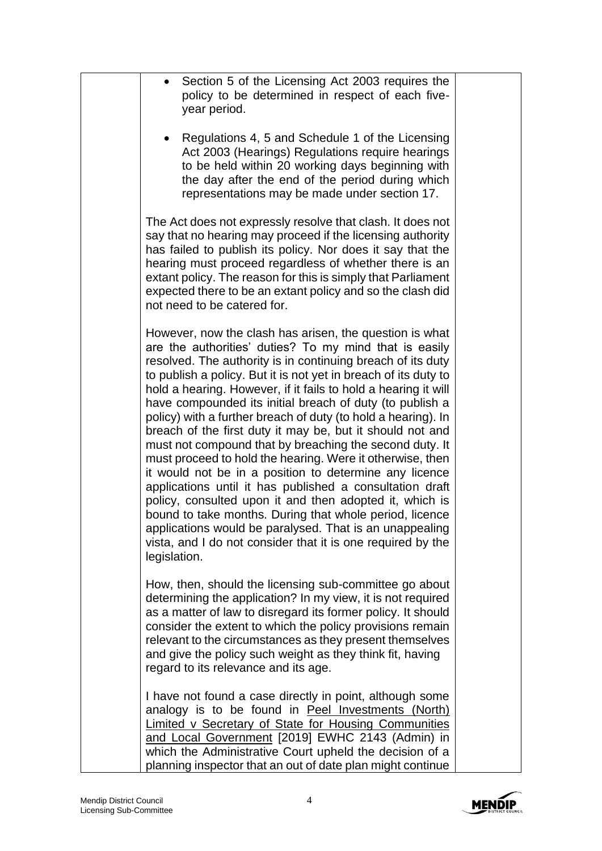| Section 5 of the Licensing Act 2003 requires the<br>policy to be determined in respect of each five-<br>year period.                                                                                                                                                                                                                                                                                                                                                                                                                                                                                                                                                                                                                                                                                                                                                                                                                                                                                                          |  |
|-------------------------------------------------------------------------------------------------------------------------------------------------------------------------------------------------------------------------------------------------------------------------------------------------------------------------------------------------------------------------------------------------------------------------------------------------------------------------------------------------------------------------------------------------------------------------------------------------------------------------------------------------------------------------------------------------------------------------------------------------------------------------------------------------------------------------------------------------------------------------------------------------------------------------------------------------------------------------------------------------------------------------------|--|
| Regulations 4, 5 and Schedule 1 of the Licensing<br>Act 2003 (Hearings) Regulations require hearings<br>to be held within 20 working days beginning with<br>the day after the end of the period during which<br>representations may be made under section 17.                                                                                                                                                                                                                                                                                                                                                                                                                                                                                                                                                                                                                                                                                                                                                                 |  |
| The Act does not expressly resolve that clash. It does not<br>say that no hearing may proceed if the licensing authority<br>has failed to publish its policy. Nor does it say that the<br>hearing must proceed regardless of whether there is an<br>extant policy. The reason for this is simply that Parliament<br>expected there to be an extant policy and so the clash did<br>not need to be catered for.                                                                                                                                                                                                                                                                                                                                                                                                                                                                                                                                                                                                                 |  |
| However, now the clash has arisen, the question is what<br>are the authorities' duties? To my mind that is easily<br>resolved. The authority is in continuing breach of its duty<br>to publish a policy. But it is not yet in breach of its duty to<br>hold a hearing. However, if it fails to hold a hearing it will<br>have compounded its initial breach of duty (to publish a<br>policy) with a further breach of duty (to hold a hearing). In<br>breach of the first duty it may be, but it should not and<br>must not compound that by breaching the second duty. It<br>must proceed to hold the hearing. Were it otherwise, then<br>it would not be in a position to determine any licence<br>applications until it has published a consultation draft<br>policy, consulted upon it and then adopted it, which is<br>bound to take months. During that whole period, licence<br>applications would be paralysed. That is an unappealing<br>vista, and I do not consider that it is one required by the<br>legislation. |  |
| How, then, should the licensing sub-committee go about<br>determining the application? In my view, it is not required<br>as a matter of law to disregard its former policy. It should<br>consider the extent to which the policy provisions remain<br>relevant to the circumstances as they present themselves<br>and give the policy such weight as they think fit, having<br>regard to its relevance and its age.                                                                                                                                                                                                                                                                                                                                                                                                                                                                                                                                                                                                           |  |
| I have not found a case directly in point, although some<br>analogy is to be found in Peel Investments (North)<br><b>Limited v Secretary of State for Housing Communities</b><br>and Local Government [2019] EWHC 2143 (Admin) in<br>which the Administrative Court upheld the decision of a<br>planning inspector that an out of date plan might continue                                                                                                                                                                                                                                                                                                                                                                                                                                                                                                                                                                                                                                                                    |  |

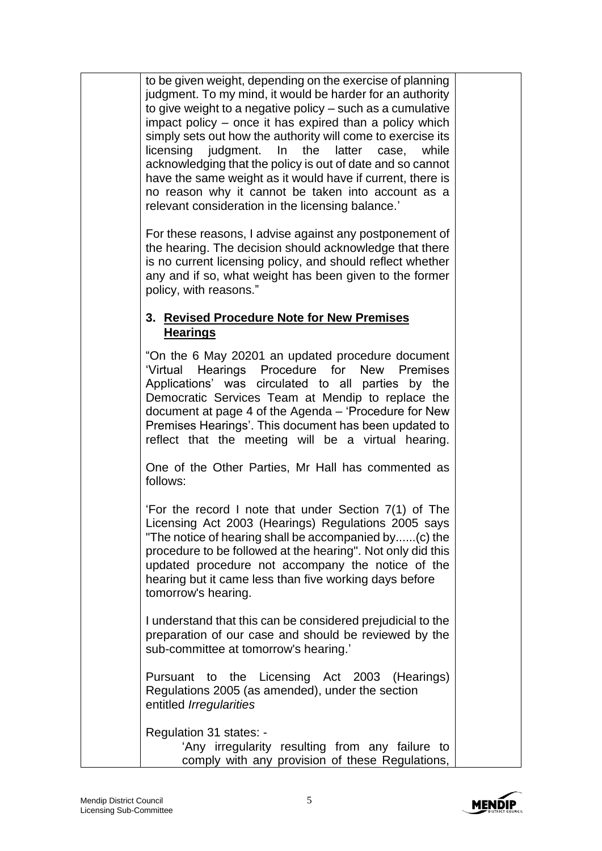to be given weight, depending on the exercise of planning judgment. To my mind, it would be harder for an authority to give weight to a negative policy – such as a cumulative impact policy – once it has expired than a policy which simply sets out how the authority will come to exercise its licensing judgment. In the latter case, while acknowledging that the policy is out of date and so cannot have the same weight as it would have if current, there is no reason why it cannot be taken into account as a relevant consideration in the licensing balance.'

For these reasons, I advise against any postponement of the hearing. The decision should acknowledge that there is no current licensing policy, and should reflect whether any and if so, what weight has been given to the former policy, with reasons."

## **3. Revised Procedure Note for New Premises Hearings**

"On the 6 May 20201 an updated procedure document 'Virtual Hearings Procedure for New Premises Applications' was circulated to all parties by the Democratic Services Team at Mendip to replace the document at page 4 of the Agenda – 'Procedure for New Premises Hearings'. This document has been updated to reflect that the meeting will be a virtual hearing.

One of the Other Parties, Mr Hall has commented as follows:

'For the record I note that under Section 7(1) of The Licensing Act 2003 (Hearings) Regulations 2005 says "The notice of hearing shall be accompanied by......(c) the procedure to be followed at the hearing". Not only did this updated procedure not accompany the notice of the hearing but it came less than five working days before tomorrow's hearing.

I understand that this can be considered prejudicial to the preparation of our case and should be reviewed by the sub-committee at tomorrow's hearing.'

Pursuant to the Licensing Act 2003 (Hearings) Regulations 2005 (as amended), under the section entitled *Irregularities* 

Regulation 31 states: - 'Any irregularity resulting from any failure to comply with any provision of these Regulations,

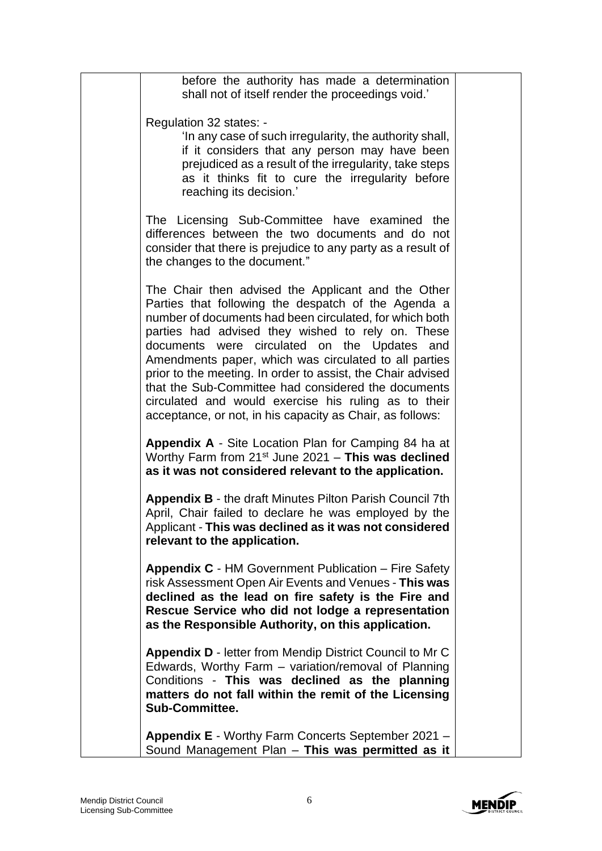| before the authority has made a determination<br>shall not of itself render the proceedings void.'                                                                                                                                                                                                                                                                                                                                                                                                                                                                            |  |
|-------------------------------------------------------------------------------------------------------------------------------------------------------------------------------------------------------------------------------------------------------------------------------------------------------------------------------------------------------------------------------------------------------------------------------------------------------------------------------------------------------------------------------------------------------------------------------|--|
| Regulation 32 states: -<br>'In any case of such irregularity, the authority shall,<br>if it considers that any person may have been<br>prejudiced as a result of the irregularity, take steps<br>as it thinks fit to cure the irregularity before<br>reaching its decision.'                                                                                                                                                                                                                                                                                                  |  |
| The Licensing Sub-Committee have examined the<br>differences between the two documents and do not<br>consider that there is prejudice to any party as a result of<br>the changes to the document."                                                                                                                                                                                                                                                                                                                                                                            |  |
| The Chair then advised the Applicant and the Other<br>Parties that following the despatch of the Agenda a<br>number of documents had been circulated, for which both<br>parties had advised they wished to rely on. These<br>documents were circulated on the Updates and<br>Amendments paper, which was circulated to all parties<br>prior to the meeting. In order to assist, the Chair advised<br>that the Sub-Committee had considered the documents<br>circulated and would exercise his ruling as to their<br>acceptance, or not, in his capacity as Chair, as follows: |  |
| <b>Appendix A</b> - Site Location Plan for Camping 84 ha at<br>Worthy Farm from $21^{st}$ June 2021 - This was declined<br>as it was not considered relevant to the application.                                                                                                                                                                                                                                                                                                                                                                                              |  |
| <b>Appendix B - the draft Minutes Pilton Parish Council 7th</b><br>April, Chair failed to declare he was employed by the<br>Applicant - This was declined as it was not considered<br>relevant to the application.                                                                                                                                                                                                                                                                                                                                                            |  |
| <b>Appendix C</b> - HM Government Publication – Fire Safety<br>risk Assessment Open Air Events and Venues - This was<br>declined as the lead on fire safety is the Fire and<br>Rescue Service who did not lodge a representation<br>as the Responsible Authority, on this application.                                                                                                                                                                                                                                                                                        |  |
| <b>Appendix D - letter from Mendip District Council to Mr C</b><br>Edwards, Worthy Farm - variation/removal of Planning<br>Conditions - This was declined as the planning<br>matters do not fall within the remit of the Licensing<br><b>Sub-Committee.</b>                                                                                                                                                                                                                                                                                                                   |  |
| Appendix E - Worthy Farm Concerts September 2021 -<br>Sound Management Plan - This was permitted as it                                                                                                                                                                                                                                                                                                                                                                                                                                                                        |  |

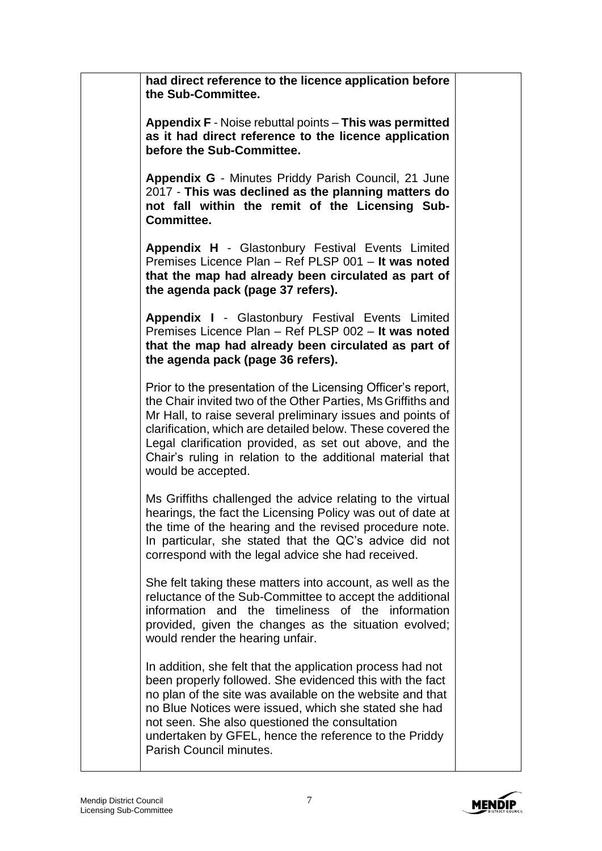| had direct reference to the licence application before<br>the Sub-Committee.                                                                                                                                                                                                                                                                                                                            |  |
|---------------------------------------------------------------------------------------------------------------------------------------------------------------------------------------------------------------------------------------------------------------------------------------------------------------------------------------------------------------------------------------------------------|--|
| Appendix F - Noise rebuttal points - This was permitted<br>as it had direct reference to the licence application<br>before the Sub-Committee.                                                                                                                                                                                                                                                           |  |
| Appendix G - Minutes Priddy Parish Council, 21 June<br>2017 - This was declined as the planning matters do<br>not fall within the remit of the Licensing Sub-<br>Committee.                                                                                                                                                                                                                             |  |
| Appendix H - Glastonbury Festival Events Limited<br>Premises Licence Plan - Ref PLSP 001 - It was noted<br>that the map had already been circulated as part of<br>the agenda pack (page 37 refers).                                                                                                                                                                                                     |  |
| Appendix I - Glastonbury Festival Events Limited<br>Premises Licence Plan - Ref PLSP 002 - It was noted<br>that the map had already been circulated as part of<br>the agenda pack (page 36 refers).                                                                                                                                                                                                     |  |
| Prior to the presentation of the Licensing Officer's report,<br>the Chair invited two of the Other Parties, Ms Griffiths and<br>Mr Hall, to raise several preliminary issues and points of<br>clarification, which are detailed below. These covered the<br>Legal clarification provided, as set out above, and the<br>Chair's ruling in relation to the additional material that<br>would be accepted. |  |
| Ms Griffiths challenged the advice relating to the virtual<br>hearings, the fact the Licensing Policy was out of date at<br>the time of the hearing and the revised procedure note.<br>In particular, she stated that the QC's advice did not<br>correspond with the legal advice she had received.                                                                                                     |  |
| She felt taking these matters into account, as well as the<br>reluctance of the Sub-Committee to accept the additional<br>information and the timeliness of the information<br>provided, given the changes as the situation evolved;<br>would render the hearing unfair.                                                                                                                                |  |
| In addition, she felt that the application process had not<br>been properly followed. She evidenced this with the fact<br>no plan of the site was available on the website and that<br>no Blue Notices were issued, which she stated she had<br>not seen. She also questioned the consultation<br>undertaken by GFEL, hence the reference to the Priddy<br>Parish Council minutes.                      |  |

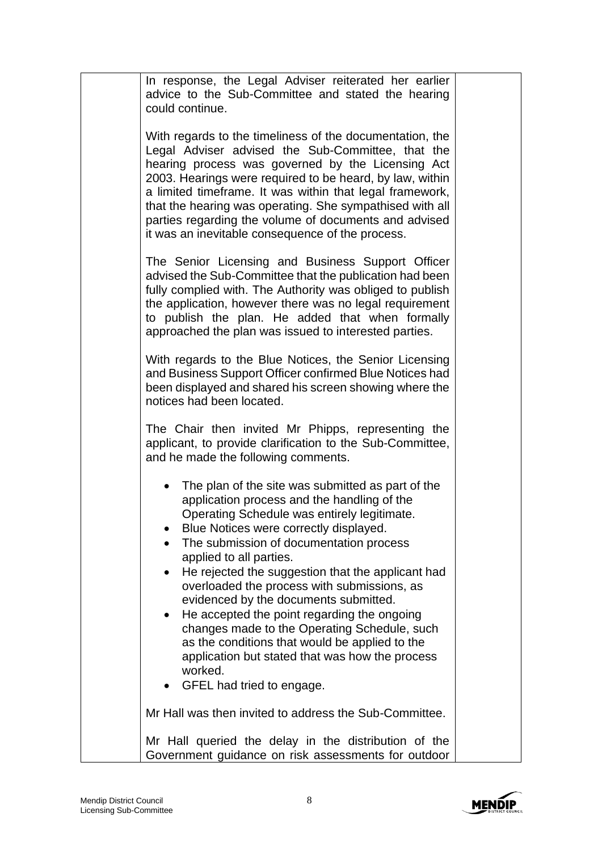| In response, the Legal Adviser reiterated her earlier<br>advice to the Sub-Committee and stated the hearing<br>could continue.                                                                                                                                                                                                                                                                                                                                      |  |
|---------------------------------------------------------------------------------------------------------------------------------------------------------------------------------------------------------------------------------------------------------------------------------------------------------------------------------------------------------------------------------------------------------------------------------------------------------------------|--|
| With regards to the timeliness of the documentation, the<br>Legal Adviser advised the Sub-Committee, that the<br>hearing process was governed by the Licensing Act<br>2003. Hearings were required to be heard, by law, within<br>a limited timeframe. It was within that legal framework,<br>that the hearing was operating. She sympathised with all<br>parties regarding the volume of documents and advised<br>it was an inevitable consequence of the process. |  |
| The Senior Licensing and Business Support Officer<br>advised the Sub-Committee that the publication had been<br>fully complied with. The Authority was obliged to publish<br>the application, however there was no legal requirement<br>to publish the plan. He added that when formally<br>approached the plan was issued to interested parties.                                                                                                                   |  |
| With regards to the Blue Notices, the Senior Licensing<br>and Business Support Officer confirmed Blue Notices had<br>been displayed and shared his screen showing where the<br>notices had been located.                                                                                                                                                                                                                                                            |  |
| The Chair then invited Mr Phipps, representing the<br>applicant, to provide clarification to the Sub-Committee,<br>and he made the following comments.                                                                                                                                                                                                                                                                                                              |  |
| The plan of the site was submitted as part of the<br>application process and the handling of the<br>Operating Schedule was entirely legitimate.<br>Blue Notices were correctly displayed.<br>The submission of documentation process<br>applied to all parties.<br>He rejected the suggestion that the applicant had<br>$\bullet$<br>overloaded the process with submissions, as                                                                                    |  |
| evidenced by the documents submitted.<br>He accepted the point regarding the ongoing<br>$\bullet$<br>changes made to the Operating Schedule, such<br>as the conditions that would be applied to the<br>application but stated that was how the process<br>worked.<br>GFEL had tried to engage.                                                                                                                                                                      |  |
| Mr Hall was then invited to address the Sub-Committee.                                                                                                                                                                                                                                                                                                                                                                                                              |  |
| Mr Hall queried the delay in the distribution of the<br>Government guidance on risk assessments for outdoor                                                                                                                                                                                                                                                                                                                                                         |  |

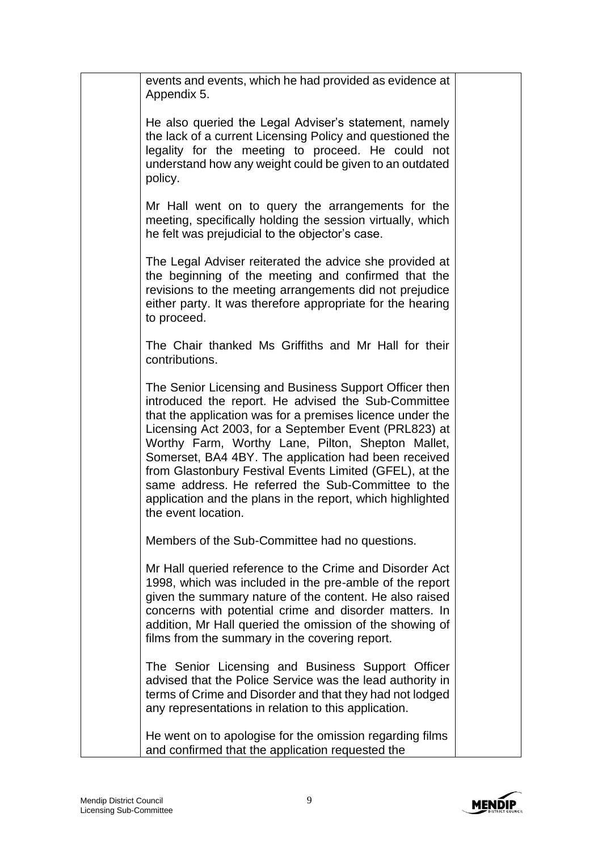| events and events, which he had provided as evidence at<br>Appendix 5.                                                                                                                                                                                                                                                                                                                                                                                                                                                                                 |  |
|--------------------------------------------------------------------------------------------------------------------------------------------------------------------------------------------------------------------------------------------------------------------------------------------------------------------------------------------------------------------------------------------------------------------------------------------------------------------------------------------------------------------------------------------------------|--|
| He also queried the Legal Adviser's statement, namely<br>the lack of a current Licensing Policy and questioned the<br>legality for the meeting to proceed. He could not<br>understand how any weight could be given to an outdated<br>policy.                                                                                                                                                                                                                                                                                                          |  |
| Mr Hall went on to query the arrangements for the<br>meeting, specifically holding the session virtually, which<br>he felt was prejudicial to the objector's case.                                                                                                                                                                                                                                                                                                                                                                                     |  |
| The Legal Adviser reiterated the advice she provided at<br>the beginning of the meeting and confirmed that the<br>revisions to the meeting arrangements did not prejudice<br>either party. It was therefore appropriate for the hearing<br>to proceed.                                                                                                                                                                                                                                                                                                 |  |
| The Chair thanked Ms Griffiths and Mr Hall for their<br>contributions.                                                                                                                                                                                                                                                                                                                                                                                                                                                                                 |  |
| The Senior Licensing and Business Support Officer then<br>introduced the report. He advised the Sub-Committee<br>that the application was for a premises licence under the<br>Licensing Act 2003, for a September Event (PRL823) at<br>Worthy Farm, Worthy Lane, Pilton, Shepton Mallet,<br>Somerset, BA4 4BY. The application had been received<br>from Glastonbury Festival Events Limited (GFEL), at the<br>same address. He referred the Sub-Committee to the<br>application and the plans in the report, which highlighted<br>the event location. |  |
| Members of the Sub-Committee had no questions.                                                                                                                                                                                                                                                                                                                                                                                                                                                                                                         |  |
| Mr Hall queried reference to the Crime and Disorder Act<br>1998, which was included in the pre-amble of the report<br>given the summary nature of the content. He also raised<br>concerns with potential crime and disorder matters. In<br>addition, Mr Hall queried the omission of the showing of<br>films from the summary in the covering report.                                                                                                                                                                                                  |  |
| The Senior Licensing and Business Support Officer<br>advised that the Police Service was the lead authority in<br>terms of Crime and Disorder and that they had not lodged<br>any representations in relation to this application.                                                                                                                                                                                                                                                                                                                     |  |
| He went on to apologise for the omission regarding films<br>and confirmed that the application requested the                                                                                                                                                                                                                                                                                                                                                                                                                                           |  |

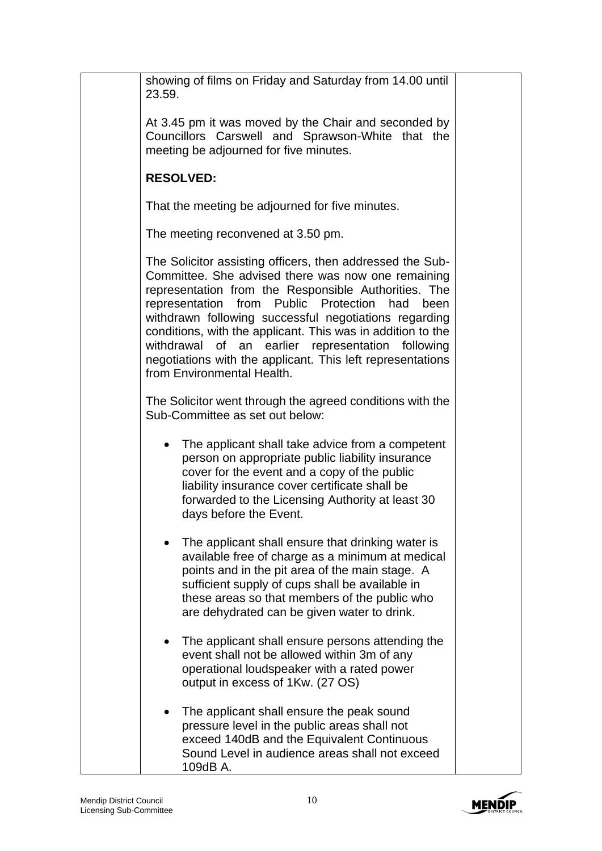| showing of films on Friday and Saturday from 14.00 until<br>23.59.                                                                                                                                                                                                                                                                                                                                                                                                                                       |  |
|----------------------------------------------------------------------------------------------------------------------------------------------------------------------------------------------------------------------------------------------------------------------------------------------------------------------------------------------------------------------------------------------------------------------------------------------------------------------------------------------------------|--|
| At 3.45 pm it was moved by the Chair and seconded by<br>Councillors Carswell and Sprawson-White that the<br>meeting be adjourned for five minutes.                                                                                                                                                                                                                                                                                                                                                       |  |
| <b>RESOLVED:</b>                                                                                                                                                                                                                                                                                                                                                                                                                                                                                         |  |
| That the meeting be adjourned for five minutes.                                                                                                                                                                                                                                                                                                                                                                                                                                                          |  |
| The meeting reconvened at 3.50 pm.                                                                                                                                                                                                                                                                                                                                                                                                                                                                       |  |
| The Solicitor assisting officers, then addressed the Sub-<br>Committee. She advised there was now one remaining<br>representation from the Responsible Authorities. The<br>representation from Public Protection had<br>been<br>withdrawn following successful negotiations regarding<br>conditions, with the applicant. This was in addition to the<br>earlier representation following<br>withdrawal of an<br>negotiations with the applicant. This left representations<br>from Environmental Health. |  |
| The Solicitor went through the agreed conditions with the<br>Sub-Committee as set out below:                                                                                                                                                                                                                                                                                                                                                                                                             |  |
| The applicant shall take advice from a competent<br>person on appropriate public liability insurance<br>cover for the event and a copy of the public<br>liability insurance cover certificate shall be<br>forwarded to the Licensing Authority at least 30<br>days before the Event.                                                                                                                                                                                                                     |  |
| The applicant shall ensure that drinking water is<br>available free of charge as a minimum at medical<br>points and in the pit area of the main stage. A<br>sufficient supply of cups shall be available in<br>these areas so that members of the public who<br>are dehydrated can be given water to drink.                                                                                                                                                                                              |  |
| The applicant shall ensure persons attending the<br>event shall not be allowed within 3m of any<br>operational loudspeaker with a rated power<br>output in excess of 1Kw. (27 OS)                                                                                                                                                                                                                                                                                                                        |  |
| The applicant shall ensure the peak sound<br>pressure level in the public areas shall not<br>exceed 140dB and the Equivalent Continuous<br>Sound Level in audience areas shall not exceed<br>109dB A.                                                                                                                                                                                                                                                                                                    |  |

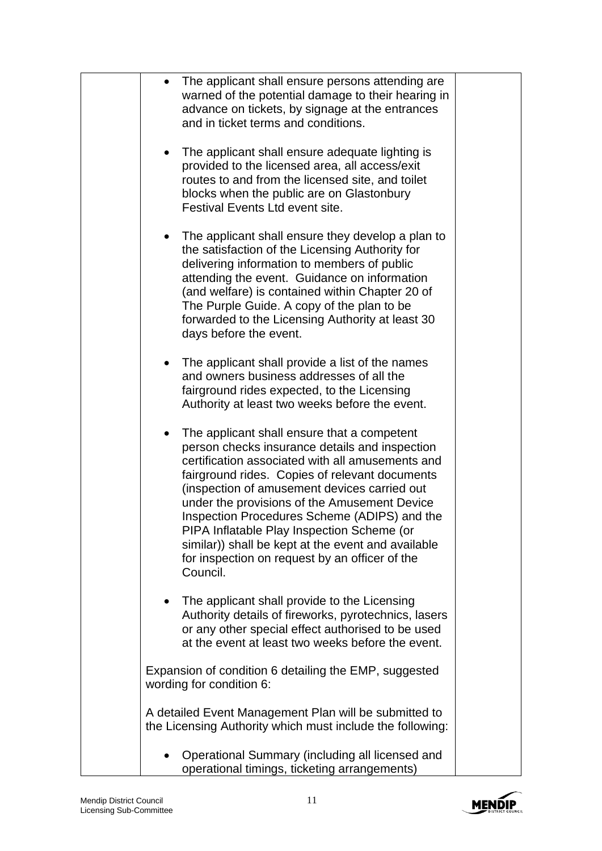| The applicant shall ensure persons attending are<br>warned of the potential damage to their hearing in<br>advance on tickets, by signage at the entrances<br>and in ticket terms and conditions.                                                                                                                                                                                                                                                                                                                           |  |
|----------------------------------------------------------------------------------------------------------------------------------------------------------------------------------------------------------------------------------------------------------------------------------------------------------------------------------------------------------------------------------------------------------------------------------------------------------------------------------------------------------------------------|--|
| The applicant shall ensure adequate lighting is<br>٠<br>provided to the licensed area, all access/exit<br>routes to and from the licensed site, and toilet<br>blocks when the public are on Glastonbury<br>Festival Events Ltd event site.                                                                                                                                                                                                                                                                                 |  |
| The applicant shall ensure they develop a plan to<br>the satisfaction of the Licensing Authority for<br>delivering information to members of public<br>attending the event. Guidance on information<br>(and welfare) is contained within Chapter 20 of<br>The Purple Guide. A copy of the plan to be<br>forwarded to the Licensing Authority at least 30<br>days before the event.                                                                                                                                         |  |
| The applicant shall provide a list of the names<br>$\bullet$<br>and owners business addresses of all the<br>fairground rides expected, to the Licensing<br>Authority at least two weeks before the event.                                                                                                                                                                                                                                                                                                                  |  |
| The applicant shall ensure that a competent<br>٠<br>person checks insurance details and inspection<br>certification associated with all amusements and<br>fairground rides. Copies of relevant documents<br>(inspection of amusement devices carried out<br>under the provisions of the Amusement Device<br>Inspection Procedures Scheme (ADIPS) and the<br>PIPA Inflatable Play Inspection Scheme (or<br>similar)) shall be kept at the event and available<br>for inspection on request by an officer of the<br>Council. |  |
| The applicant shall provide to the Licensing<br>$\bullet$<br>Authority details of fireworks, pyrotechnics, lasers<br>or any other special effect authorised to be used<br>at the event at least two weeks before the event.                                                                                                                                                                                                                                                                                                |  |
| Expansion of condition 6 detailing the EMP, suggested<br>wording for condition 6:                                                                                                                                                                                                                                                                                                                                                                                                                                          |  |
| A detailed Event Management Plan will be submitted to<br>the Licensing Authority which must include the following:                                                                                                                                                                                                                                                                                                                                                                                                         |  |
| Operational Summary (including all licensed and<br>operational timings, ticketing arrangements)                                                                                                                                                                                                                                                                                                                                                                                                                            |  |

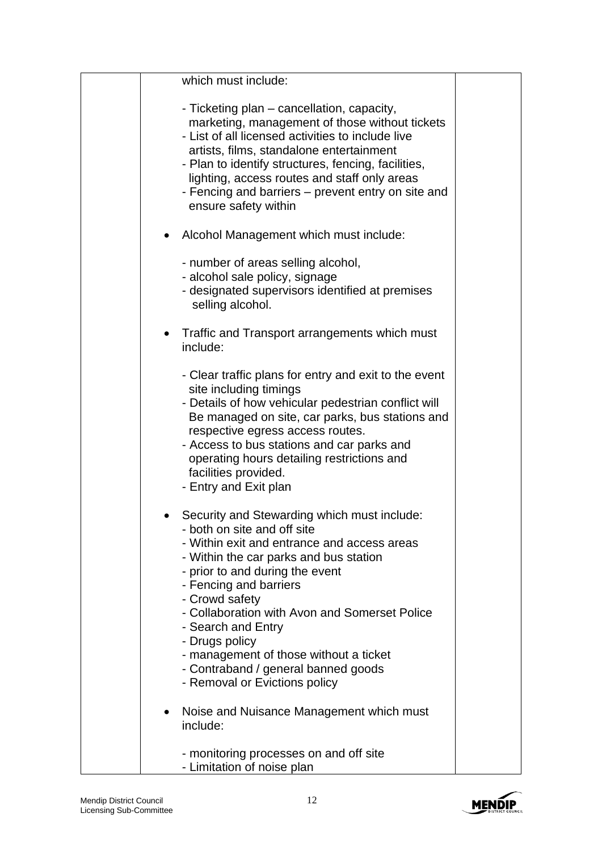|           | which must include:                                                                                                                                                                                                                                                                                                                                                                                                                                           |  |
|-----------|---------------------------------------------------------------------------------------------------------------------------------------------------------------------------------------------------------------------------------------------------------------------------------------------------------------------------------------------------------------------------------------------------------------------------------------------------------------|--|
|           | - Ticketing plan – cancellation, capacity,<br>marketing, management of those without tickets<br>- List of all licensed activities to include live<br>artists, films, standalone entertainment<br>- Plan to identify structures, fencing, facilities,<br>lighting, access routes and staff only areas<br>- Fencing and barriers – prevent entry on site and<br>ensure safety within                                                                            |  |
|           | Alcohol Management which must include:                                                                                                                                                                                                                                                                                                                                                                                                                        |  |
|           | - number of areas selling alcohol,<br>- alcohol sale policy, signage<br>- designated supervisors identified at premises<br>selling alcohol.                                                                                                                                                                                                                                                                                                                   |  |
| $\bullet$ | Traffic and Transport arrangements which must<br>include:                                                                                                                                                                                                                                                                                                                                                                                                     |  |
|           | - Clear traffic plans for entry and exit to the event<br>site including timings<br>- Details of how vehicular pedestrian conflict will<br>Be managed on site, car parks, bus stations and<br>respective egress access routes.<br>- Access to bus stations and car parks and<br>operating hours detailing restrictions and<br>facilities provided.<br>- Entry and Exit plan                                                                                    |  |
|           | Security and Stewarding which must include:<br>- both on site and off site<br>- Within exit and entrance and access areas<br>- Within the car parks and bus station<br>- prior to and during the event<br>- Fencing and barriers<br>- Crowd safety<br>- Collaboration with Avon and Somerset Police<br>- Search and Entry<br>- Drugs policy<br>- management of those without a ticket<br>- Contraband / general banned goods<br>- Removal or Evictions policy |  |
|           | Noise and Nuisance Management which must<br>include:                                                                                                                                                                                                                                                                                                                                                                                                          |  |
|           | - monitoring processes on and off site<br>- Limitation of noise plan                                                                                                                                                                                                                                                                                                                                                                                          |  |

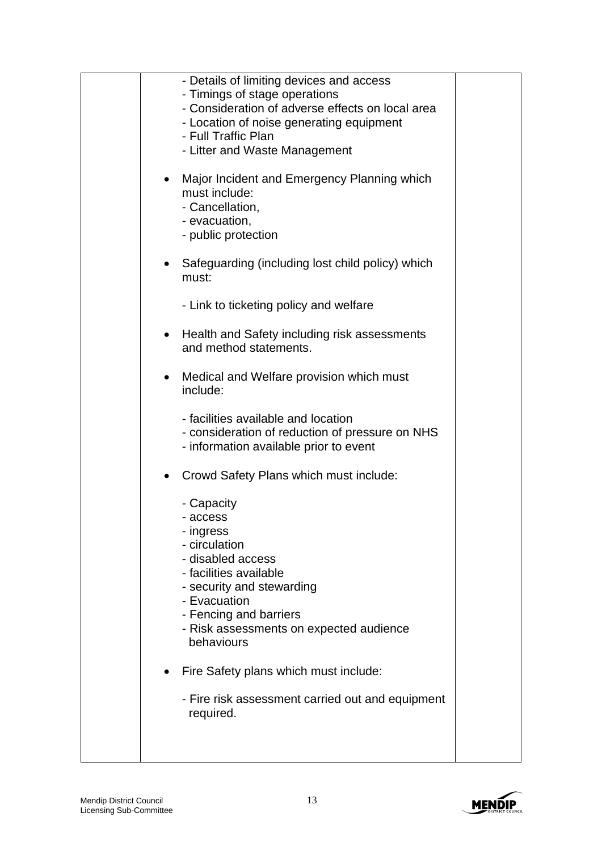| - Details of limiting devices and access<br>- Timings of stage operations<br>- Consideration of adverse effects on local area<br>- Location of noise generating equipment<br>- Full Traffic Plan<br>- Litter and Waste Management<br>Major Incident and Emergency Planning which<br>$\bullet$<br>must include:<br>- Cancellation,<br>- evacuation,<br>- public protection<br>Safeguarding (including lost child policy) which<br>$\bullet$<br>must:<br>- Link to ticketing policy and welfare<br>Health and Safety including risk assessments<br>and method statements.<br>Medical and Welfare provision which must<br>$\bullet$<br>include:<br>- facilities available and location<br>- consideration of reduction of pressure on NHS<br>- information available prior to event<br>Crowd Safety Plans which must include:<br>٠<br>- Capacity<br>- access<br>- ingress<br>- circulation<br>- disabled access<br>- facilities available<br>- security and stewarding<br>- Evacuation<br>- Fencing and barriers<br>- Risk assessments on expected audience<br>behaviours |  |
|------------------------------------------------------------------------------------------------------------------------------------------------------------------------------------------------------------------------------------------------------------------------------------------------------------------------------------------------------------------------------------------------------------------------------------------------------------------------------------------------------------------------------------------------------------------------------------------------------------------------------------------------------------------------------------------------------------------------------------------------------------------------------------------------------------------------------------------------------------------------------------------------------------------------------------------------------------------------------------------------------------------------------------------------------------------------|--|
| Fire Safety plans which must include:<br>- Fire risk assessment carried out and equipment<br>required.                                                                                                                                                                                                                                                                                                                                                                                                                                                                                                                                                                                                                                                                                                                                                                                                                                                                                                                                                                 |  |

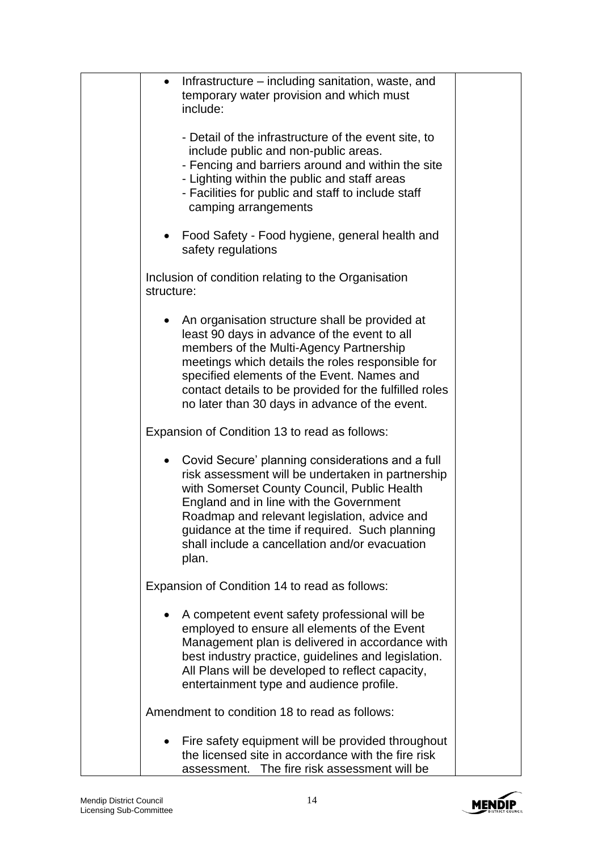| Infrastructure – including sanitation, waste, and<br>$\bullet$<br>temporary water provision and which must<br>include:                                                                                                                                                                                                                                          |  |
|-----------------------------------------------------------------------------------------------------------------------------------------------------------------------------------------------------------------------------------------------------------------------------------------------------------------------------------------------------------------|--|
| - Detail of the infrastructure of the event site, to<br>include public and non-public areas.<br>- Fencing and barriers around and within the site<br>- Lighting within the public and staff areas<br>- Facilities for public and staff to include staff<br>camping arrangements                                                                                 |  |
| Food Safety - Food hygiene, general health and<br>safety regulations                                                                                                                                                                                                                                                                                            |  |
| Inclusion of condition relating to the Organisation<br>structure:                                                                                                                                                                                                                                                                                               |  |
| An organisation structure shall be provided at<br>least 90 days in advance of the event to all<br>members of the Multi-Agency Partnership<br>meetings which details the roles responsible for<br>specified elements of the Event. Names and<br>contact details to be provided for the fulfilled roles<br>no later than 30 days in advance of the event.         |  |
| Expansion of Condition 13 to read as follows:                                                                                                                                                                                                                                                                                                                   |  |
| • Covid Secure' planning considerations and a full<br>risk assessment will be undertaken in partnership<br>with Somerset County Council, Public Health<br>England and in line with the Government<br>Roadmap and relevant legislation, advice and<br>guidance at the time if required. Such planning<br>shall include a cancellation and/or evacuation<br>plan. |  |
| Expansion of Condition 14 to read as follows:                                                                                                                                                                                                                                                                                                                   |  |
| A competent event safety professional will be<br>employed to ensure all elements of the Event<br>Management plan is delivered in accordance with<br>best industry practice, guidelines and legislation.<br>All Plans will be developed to reflect capacity,<br>entertainment type and audience profile.                                                         |  |
| Amendment to condition 18 to read as follows:                                                                                                                                                                                                                                                                                                                   |  |
| Fire safety equipment will be provided throughout<br>the licensed site in accordance with the fire risk<br>assessment. The fire risk assessment will be                                                                                                                                                                                                         |  |

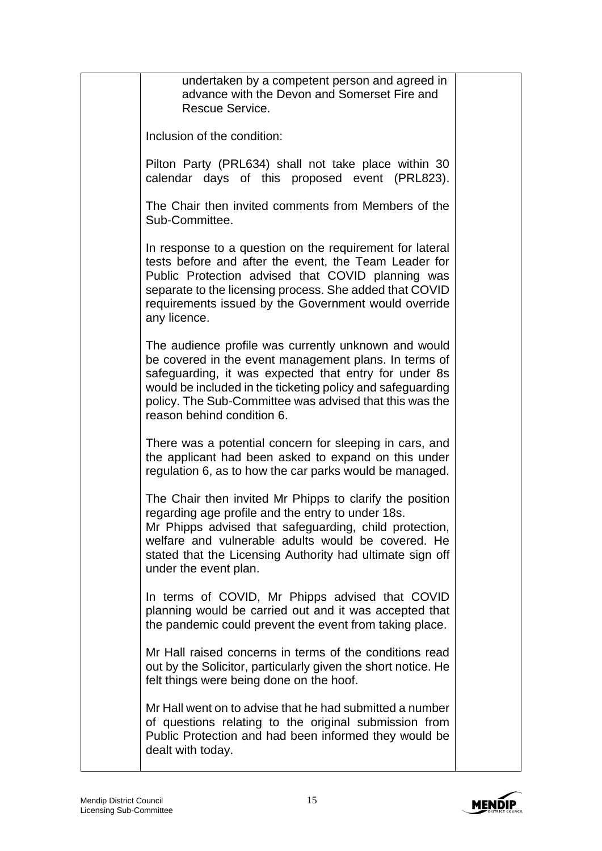| undertaken by a competent person and agreed in<br>advance with the Devon and Somerset Fire and<br>Rescue Service.                                                                                                                                                                                                             |  |
|-------------------------------------------------------------------------------------------------------------------------------------------------------------------------------------------------------------------------------------------------------------------------------------------------------------------------------|--|
| Inclusion of the condition:                                                                                                                                                                                                                                                                                                   |  |
| Pilton Party (PRL634) shall not take place within 30<br>calendar days of this proposed event (PRL823).                                                                                                                                                                                                                        |  |
| The Chair then invited comments from Members of the<br>Sub-Committee.                                                                                                                                                                                                                                                         |  |
| In response to a question on the requirement for lateral<br>tests before and after the event, the Team Leader for<br>Public Protection advised that COVID planning was<br>separate to the licensing process. She added that COVID<br>requirements issued by the Government would override<br>any licence.                     |  |
| The audience profile was currently unknown and would<br>be covered in the event management plans. In terms of<br>safeguarding, it was expected that entry for under 8s<br>would be included in the ticketing policy and safeguarding<br>policy. The Sub-Committee was advised that this was the<br>reason behind condition 6. |  |
| There was a potential concern for sleeping in cars, and<br>the applicant had been asked to expand on this under<br>regulation 6, as to how the car parks would be managed.                                                                                                                                                    |  |
| The Chair then invited Mr Phipps to clarify the position<br>regarding age profile and the entry to under 18s.<br>Mr Phipps advised that safeguarding, child protection,<br>welfare and vulnerable adults would be covered. He<br>stated that the Licensing Authority had ultimate sign off<br>under the event plan.           |  |
| In terms of COVID, Mr Phipps advised that COVID<br>planning would be carried out and it was accepted that<br>the pandemic could prevent the event from taking place.                                                                                                                                                          |  |
| Mr Hall raised concerns in terms of the conditions read<br>out by the Solicitor, particularly given the short notice. He<br>felt things were being done on the hoof.                                                                                                                                                          |  |
| Mr Hall went on to advise that he had submitted a number<br>of questions relating to the original submission from<br>Public Protection and had been informed they would be<br>dealt with today.                                                                                                                               |  |

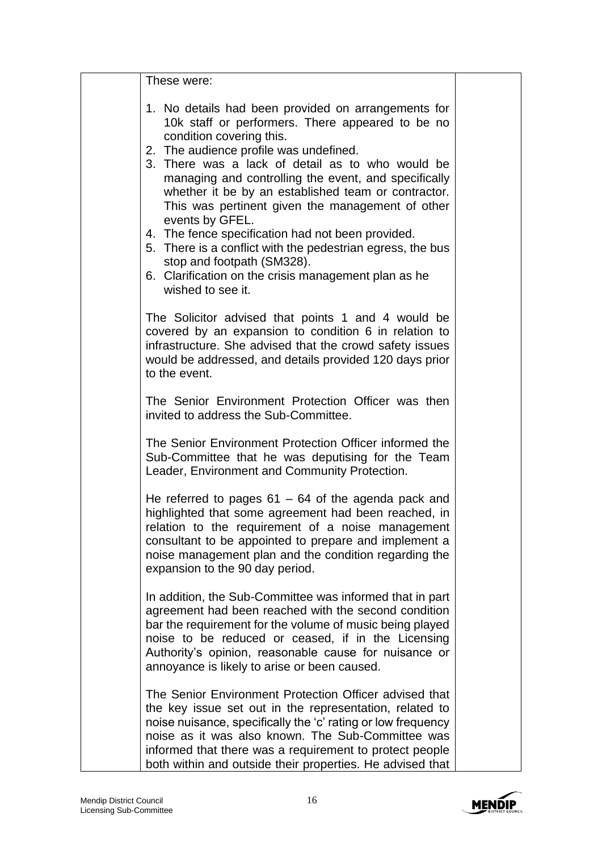| These were:                                                                                                                                                                                                                                                                                                                                                                                                                                                                                                                                                                                                                                           |  |
|-------------------------------------------------------------------------------------------------------------------------------------------------------------------------------------------------------------------------------------------------------------------------------------------------------------------------------------------------------------------------------------------------------------------------------------------------------------------------------------------------------------------------------------------------------------------------------------------------------------------------------------------------------|--|
| 1. No details had been provided on arrangements for<br>10k staff or performers. There appeared to be no<br>condition covering this.<br>2. The audience profile was undefined.<br>3. There was a lack of detail as to who would be<br>managing and controlling the event, and specifically<br>whether it be by an established team or contractor.<br>This was pertinent given the management of other<br>events by GFEL.<br>4. The fence specification had not been provided.<br>5. There is a conflict with the pedestrian egress, the bus<br>stop and footpath (SM328).<br>6. Clarification on the crisis management plan as he<br>wished to see it. |  |
| The Solicitor advised that points 1 and 4 would be<br>covered by an expansion to condition 6 in relation to<br>infrastructure. She advised that the crowd safety issues<br>would be addressed, and details provided 120 days prior<br>to the event.                                                                                                                                                                                                                                                                                                                                                                                                   |  |
| The Senior Environment Protection Officer was then<br>invited to address the Sub-Committee.                                                                                                                                                                                                                                                                                                                                                                                                                                                                                                                                                           |  |
| The Senior Environment Protection Officer informed the<br>Sub-Committee that he was deputising for the Team<br>Leader, Environment and Community Protection.                                                                                                                                                                                                                                                                                                                                                                                                                                                                                          |  |
| He referred to pages $61 - 64$ of the agenda pack and<br>highlighted that some agreement had been reached, in<br>relation to the requirement of a noise management<br>consultant to be appointed to prepare and implement a<br>noise management plan and the condition regarding the<br>expansion to the 90 day period.                                                                                                                                                                                                                                                                                                                               |  |
| In addition, the Sub-Committee was informed that in part<br>agreement had been reached with the second condition<br>bar the requirement for the volume of music being played<br>noise to be reduced or ceased, if in the Licensing<br>Authority's opinion, reasonable cause for nuisance or<br>annoyance is likely to arise or been caused.                                                                                                                                                                                                                                                                                                           |  |
| The Senior Environment Protection Officer advised that<br>the key issue set out in the representation, related to<br>noise nuisance, specifically the 'c' rating or low frequency<br>noise as it was also known. The Sub-Committee was<br>informed that there was a requirement to protect people<br>both within and outside their properties. He advised that                                                                                                                                                                                                                                                                                        |  |

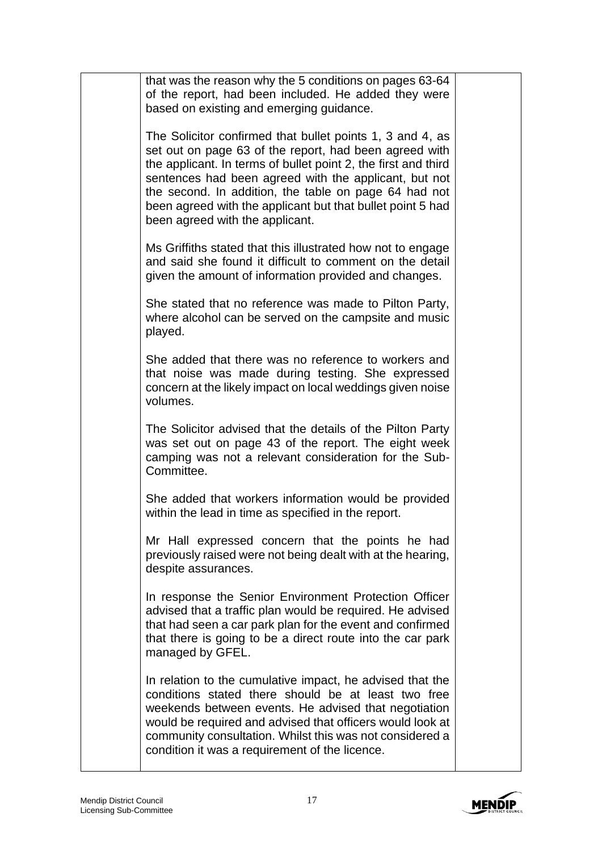| that was the reason why the 5 conditions on pages 63-64<br>of the report, had been included. He added they were<br>based on existing and emerging guidance.                                                                                                                                                                                                                                              |  |
|----------------------------------------------------------------------------------------------------------------------------------------------------------------------------------------------------------------------------------------------------------------------------------------------------------------------------------------------------------------------------------------------------------|--|
| The Solicitor confirmed that bullet points 1, 3 and 4, as<br>set out on page 63 of the report, had been agreed with<br>the applicant. In terms of bullet point 2, the first and third<br>sentences had been agreed with the applicant, but not<br>the second. In addition, the table on page 64 had not<br>been agreed with the applicant but that bullet point 5 had<br>been agreed with the applicant. |  |
| Ms Griffiths stated that this illustrated how not to engage<br>and said she found it difficult to comment on the detail<br>given the amount of information provided and changes.                                                                                                                                                                                                                         |  |
| She stated that no reference was made to Pilton Party,<br>where alcohol can be served on the campsite and music<br>played.                                                                                                                                                                                                                                                                               |  |
| She added that there was no reference to workers and<br>that noise was made during testing. She expressed<br>concern at the likely impact on local weddings given noise<br>volumes.                                                                                                                                                                                                                      |  |
| The Solicitor advised that the details of the Pilton Party<br>was set out on page 43 of the report. The eight week<br>camping was not a relevant consideration for the Sub-<br>Committee.                                                                                                                                                                                                                |  |
| She added that workers information would be provided<br>within the lead in time as specified in the report.                                                                                                                                                                                                                                                                                              |  |
| Mr Hall expressed concern that the points he had<br>previously raised were not being dealt with at the hearing,<br>despite assurances.                                                                                                                                                                                                                                                                   |  |
| In response the Senior Environment Protection Officer<br>advised that a traffic plan would be required. He advised<br>that had seen a car park plan for the event and confirmed<br>that there is going to be a direct route into the car park<br>managed by GFEL.                                                                                                                                        |  |
| In relation to the cumulative impact, he advised that the<br>conditions stated there should be at least two free<br>weekends between events. He advised that negotiation<br>would be required and advised that officers would look at<br>community consultation. Whilst this was not considered a<br>condition it was a requirement of the licence.                                                      |  |

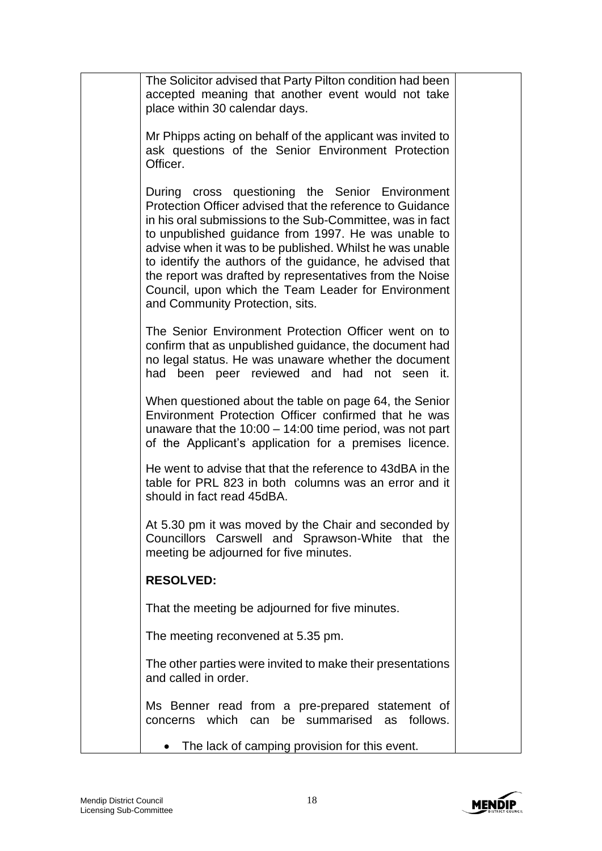| The Solicitor advised that Party Pilton condition had been<br>accepted meaning that another event would not take<br>place within 30 calendar days.                                                                                                                                                                                                                                                                                                                                                             |  |
|----------------------------------------------------------------------------------------------------------------------------------------------------------------------------------------------------------------------------------------------------------------------------------------------------------------------------------------------------------------------------------------------------------------------------------------------------------------------------------------------------------------|--|
| Mr Phipps acting on behalf of the applicant was invited to<br>ask questions of the Senior Environment Protection<br>Officer.                                                                                                                                                                                                                                                                                                                                                                                   |  |
| During cross questioning the Senior Environment<br>Protection Officer advised that the reference to Guidance<br>in his oral submissions to the Sub-Committee, was in fact<br>to unpublished guidance from 1997. He was unable to<br>advise when it was to be published. Whilst he was unable<br>to identify the authors of the guidance, he advised that<br>the report was drafted by representatives from the Noise<br>Council, upon which the Team Leader for Environment<br>and Community Protection, sits. |  |
| The Senior Environment Protection Officer went on to<br>confirm that as unpublished guidance, the document had<br>no legal status. He was unaware whether the document<br>had been peer reviewed and had not seen it.                                                                                                                                                                                                                                                                                          |  |
| When questioned about the table on page 64, the Senior<br>Environment Protection Officer confirmed that he was<br>unaware that the $10:00 - 14:00$ time period, was not part<br>of the Applicant's application for a premises licence.                                                                                                                                                                                                                                                                         |  |
| He went to advise that that the reference to 43dBA in the<br>table for PRL 823 in both columns was an error and it<br>should in fact read 45dBA.                                                                                                                                                                                                                                                                                                                                                               |  |
| At 5.30 pm it was moved by the Chair and seconded by<br>Councillors Carswell and Sprawson-White that the<br>meeting be adjourned for five minutes.                                                                                                                                                                                                                                                                                                                                                             |  |
| <b>RESOLVED:</b>                                                                                                                                                                                                                                                                                                                                                                                                                                                                                               |  |
| That the meeting be adjourned for five minutes.                                                                                                                                                                                                                                                                                                                                                                                                                                                                |  |
| The meeting reconvened at 5.35 pm.                                                                                                                                                                                                                                                                                                                                                                                                                                                                             |  |
| The other parties were invited to make their presentations<br>and called in order.                                                                                                                                                                                                                                                                                                                                                                                                                             |  |
| Ms Benner read from a pre-prepared statement of<br>which<br>can be summarised<br>follows.<br>concerns<br>as                                                                                                                                                                                                                                                                                                                                                                                                    |  |
| The lack of camping provision for this event.                                                                                                                                                                                                                                                                                                                                                                                                                                                                  |  |

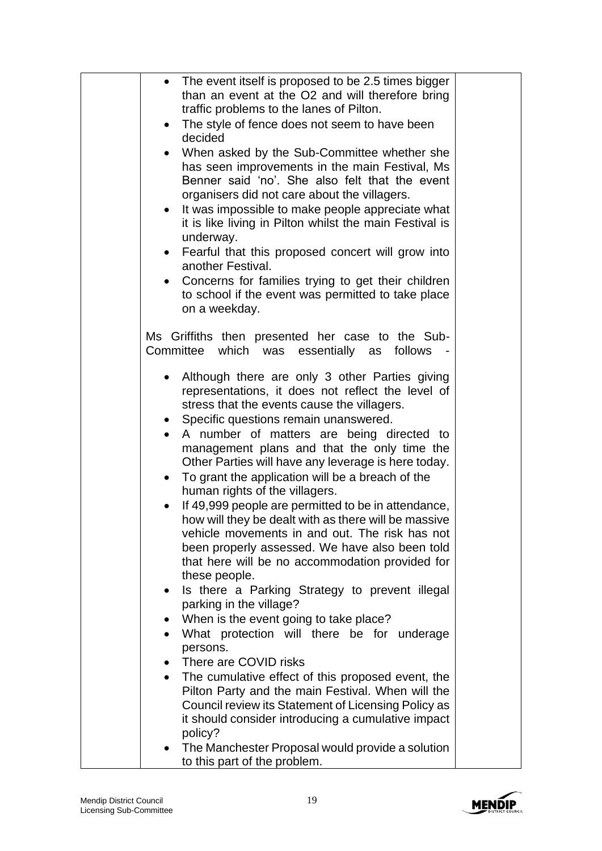| • The event itself is proposed to be 2.5 times bigger<br>than an event at the O2 and will therefore bring<br>traffic problems to the lanes of Pilton.<br>The style of fence does not seem to have been<br>$\bullet$<br>decided<br>When asked by the Sub-Committee whether she<br>has seen improvements in the main Festival, Ms<br>Benner said 'no'. She also felt that the event<br>organisers did not care about the villagers.<br>• It was impossible to make people appreciate what<br>it is like living in Pilton whilst the main Festival is<br>underway.<br>Fearful that this proposed concert will grow into<br>$\bullet$<br>another Festival.<br>Concerns for families trying to get their children<br>to school if the event was permitted to take place<br>on a weekday. |  |
|-------------------------------------------------------------------------------------------------------------------------------------------------------------------------------------------------------------------------------------------------------------------------------------------------------------------------------------------------------------------------------------------------------------------------------------------------------------------------------------------------------------------------------------------------------------------------------------------------------------------------------------------------------------------------------------------------------------------------------------------------------------------------------------|--|
| Ms Griffiths then presented her case to the Sub-<br>which was essentially as<br>Committee<br>follows                                                                                                                                                                                                                                                                                                                                                                                                                                                                                                                                                                                                                                                                                |  |
| Although there are only 3 other Parties giving<br>representations, it does not reflect the level of<br>stress that the events cause the villagers.<br>Specific questions remain unanswered.<br>$\bullet$<br>A number of matters are being directed to<br>$\bullet$<br>management plans and that the only time the<br>Other Parties will have any leverage is here today.<br>To grant the application will be a breach of the<br>$\bullet$<br>human rights of the villagers.<br>If 49,999 people are permitted to be in attendance,<br>$\bullet$<br>how will they be dealt with as there will be massive                                                                                                                                                                             |  |
| vehicle movements in and out. The risk has not<br>been properly assessed. We have also been told<br>that here will be no accommodation provided for<br>these people.                                                                                                                                                                                                                                                                                                                                                                                                                                                                                                                                                                                                                |  |
| Is there a Parking Strategy to prevent illegal<br>$\bullet$<br>parking in the village?<br>When is the event going to take place?                                                                                                                                                                                                                                                                                                                                                                                                                                                                                                                                                                                                                                                    |  |
| What protection will there be for underage<br>$\bullet$<br>persons.<br>There are COVID risks<br>$\bullet$                                                                                                                                                                                                                                                                                                                                                                                                                                                                                                                                                                                                                                                                           |  |
| • The cumulative effect of this proposed event, the<br>Pilton Party and the main Festival. When will the<br>Council review its Statement of Licensing Policy as<br>it should consider introducing a cumulative impact<br>policy?                                                                                                                                                                                                                                                                                                                                                                                                                                                                                                                                                    |  |
| The Manchester Proposal would provide a solution<br>$\bullet$<br>to this part of the problem.                                                                                                                                                                                                                                                                                                                                                                                                                                                                                                                                                                                                                                                                                       |  |

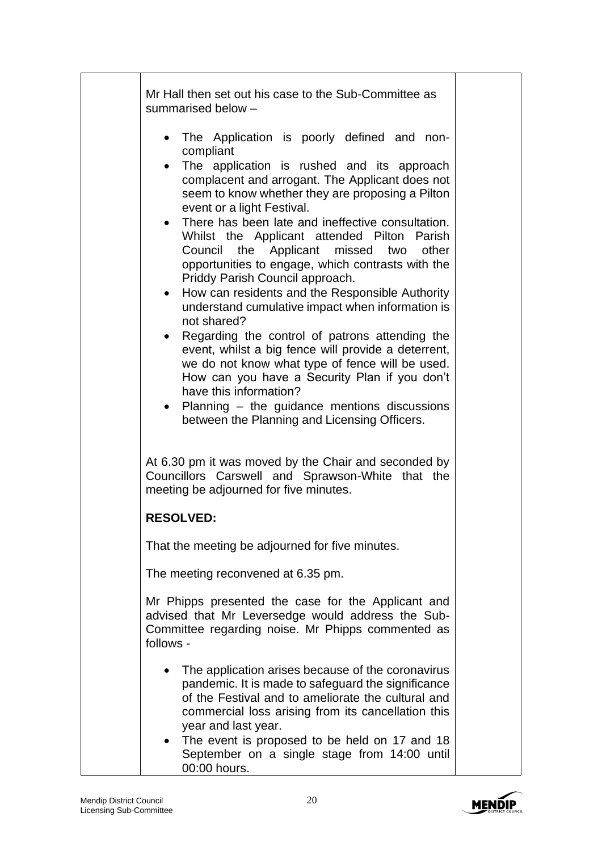| Mr Hall then set out his case to the Sub-Committee as<br>summarised below -                                                                                                                                                                                                                                                                                                                                                                                                                                                                                                                                                                                                                                                                                                                                                                                                                                                                                                               |  |
|-------------------------------------------------------------------------------------------------------------------------------------------------------------------------------------------------------------------------------------------------------------------------------------------------------------------------------------------------------------------------------------------------------------------------------------------------------------------------------------------------------------------------------------------------------------------------------------------------------------------------------------------------------------------------------------------------------------------------------------------------------------------------------------------------------------------------------------------------------------------------------------------------------------------------------------------------------------------------------------------|--|
| The Application is poorly defined and non-<br>$\bullet$<br>compliant<br>The application is rushed and its approach<br>complacent and arrogant. The Applicant does not<br>seem to know whether they are proposing a Pilton<br>event or a light Festival.<br>There has been late and ineffective consultation.<br>$\bullet$<br>Whilst the Applicant attended Pilton Parish<br>Council the Applicant missed two<br>other<br>opportunities to engage, which contrasts with the<br>Priddy Parish Council approach.<br>• How can residents and the Responsible Authority<br>understand cumulative impact when information is<br>not shared?<br>Regarding the control of patrons attending the<br>event, whilst a big fence will provide a deterrent,<br>we do not know what type of fence will be used.<br>How can you have a Security Plan if you don't<br>have this information?<br>Planning – the guidance mentions discussions<br>$\bullet$<br>between the Planning and Licensing Officers. |  |
| At 6.30 pm it was moved by the Chair and seconded by<br>Councillors Carswell and Sprawson-White that the<br>meeting be adjourned for five minutes.                                                                                                                                                                                                                                                                                                                                                                                                                                                                                                                                                                                                                                                                                                                                                                                                                                        |  |
| <b>RESOLVED:</b>                                                                                                                                                                                                                                                                                                                                                                                                                                                                                                                                                                                                                                                                                                                                                                                                                                                                                                                                                                          |  |
| That the meeting be adjourned for five minutes.                                                                                                                                                                                                                                                                                                                                                                                                                                                                                                                                                                                                                                                                                                                                                                                                                                                                                                                                           |  |
| The meeting reconvened at 6.35 pm.                                                                                                                                                                                                                                                                                                                                                                                                                                                                                                                                                                                                                                                                                                                                                                                                                                                                                                                                                        |  |
| Mr Phipps presented the case for the Applicant and<br>advised that Mr Leversedge would address the Sub-<br>Committee regarding noise. Mr Phipps commented as<br>follows -                                                                                                                                                                                                                                                                                                                                                                                                                                                                                                                                                                                                                                                                                                                                                                                                                 |  |
| The application arises because of the coronavirus<br>$\bullet$<br>pandemic. It is made to safeguard the significance<br>of the Festival and to ameliorate the cultural and<br>commercial loss arising from its cancellation this<br>year and last year.<br>The event is proposed to be held on 17 and 18<br>September on a single stage from 14:00 until<br>00:00 hours.                                                                                                                                                                                                                                                                                                                                                                                                                                                                                                                                                                                                                  |  |

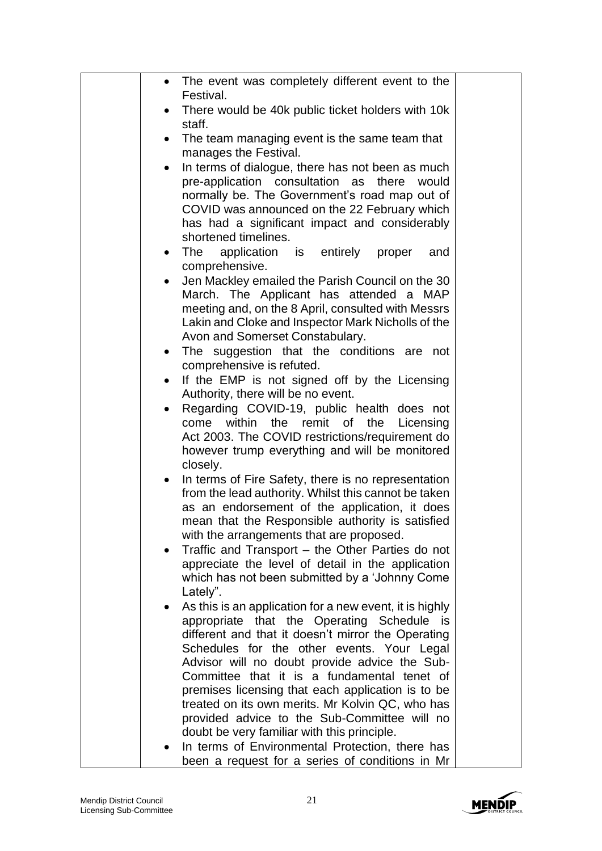| The event was completely different event to the<br>$\bullet$                                          |  |
|-------------------------------------------------------------------------------------------------------|--|
| Festival.<br>There would be 40k public ticket holders with 10k                                        |  |
| staff.                                                                                                |  |
| The team managing event is the same team that                                                         |  |
| manages the Festival.                                                                                 |  |
| In terms of dialogue, there has not been as much<br>$\bullet$                                         |  |
| pre-application consultation as<br>there<br>would<br>normally be. The Government's road map out of    |  |
| COVID was announced on the 22 February which                                                          |  |
| has had a significant impact and considerably                                                         |  |
| shortened timelines.                                                                                  |  |
| application is entirely proper<br>The<br>and<br>$\bullet$                                             |  |
| comprehensive.<br>Jen Mackley emailed the Parish Council on the 30<br>٠                               |  |
| March. The Applicant has attended a MAP                                                               |  |
| meeting and, on the 8 April, consulted with Messrs                                                    |  |
| Lakin and Cloke and Inspector Mark Nicholls of the                                                    |  |
| Avon and Somerset Constabulary.<br>The suggestion that the conditions are not                         |  |
| comprehensive is refuted.                                                                             |  |
| If the EMP is not signed off by the Licensing<br>$\bullet$                                            |  |
| Authority, there will be no event.                                                                    |  |
| Regarding COVID-19, public health does not<br>$\bullet$<br>remit<br><b>of</b>                         |  |
| within<br>the<br>the<br>Licensing<br>come<br>Act 2003. The COVID restrictions/requirement do          |  |
| however trump everything and will be monitored                                                        |  |
| closely.                                                                                              |  |
| In terms of Fire Safety, there is no representation<br>$\bullet$                                      |  |
| from the lead authority. Whilst this cannot be taken<br>as an endorsement of the application, it does |  |
| mean that the Responsible authority is satisfied                                                      |  |
| with the arrangements that are proposed.                                                              |  |
| Traffic and Transport - the Other Parties do not<br>$\bullet$                                         |  |
| appreciate the level of detail in the application<br>which has not been submitted by a 'Johnny Come   |  |
| Lately".                                                                                              |  |
| As this is an application for a new event, it is highly<br>$\bullet$                                  |  |
| appropriate that the Operating Schedule is                                                            |  |
| different and that it doesn't mirror the Operating<br>Schedules for the other events. Your Legal      |  |
| Advisor will no doubt provide advice the Sub-                                                         |  |
| Committee that it is a fundamental tenet of                                                           |  |
| premises licensing that each application is to be                                                     |  |
| treated on its own merits. Mr Kolvin QC, who has                                                      |  |
| provided advice to the Sub-Committee will no<br>doubt be very familiar with this principle.           |  |
| In terms of Environmental Protection, there has                                                       |  |
| been a request for a series of conditions in Mr                                                       |  |

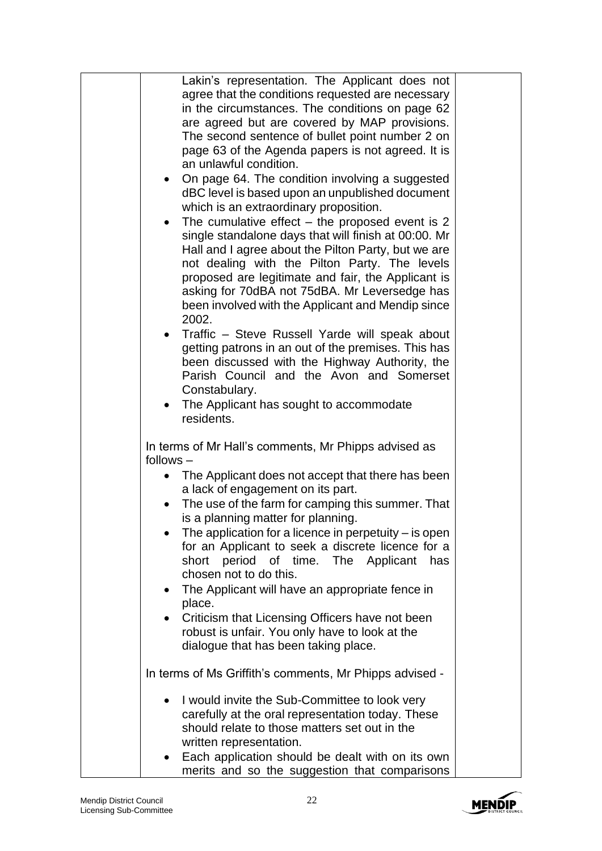| Lakin's representation. The Applicant does not<br>agree that the conditions requested are necessary<br>in the circumstances. The conditions on page 62<br>are agreed but are covered by MAP provisions.<br>The second sentence of bullet point number 2 on<br>page 63 of the Agenda papers is not agreed. It is<br>an unlawful condition.<br>On page 64. The condition involving a suggested<br>$\bullet$<br>dBC level is based upon an unpublished document<br>which is an extraordinary proposition.<br>The cumulative effect $-$ the proposed event is 2<br>single standalone days that will finish at 00:00. Mr<br>Hall and I agree about the Pilton Party, but we are<br>not dealing with the Pilton Party. The levels<br>proposed are legitimate and fair, the Applicant is<br>asking for 70dBA not 75dBA. Mr Leversedge has<br>been involved with the Applicant and Mendip since<br>2002.<br>Traffic - Steve Russell Yarde will speak about<br>$\bullet$<br>getting patrons in an out of the premises. This has<br>been discussed with the Highway Authority, the<br>Parish Council and the Avon and Somerset |  |
|----------------------------------------------------------------------------------------------------------------------------------------------------------------------------------------------------------------------------------------------------------------------------------------------------------------------------------------------------------------------------------------------------------------------------------------------------------------------------------------------------------------------------------------------------------------------------------------------------------------------------------------------------------------------------------------------------------------------------------------------------------------------------------------------------------------------------------------------------------------------------------------------------------------------------------------------------------------------------------------------------------------------------------------------------------------------------------------------------------------------|--|
| Constabulary.                                                                                                                                                                                                                                                                                                                                                                                                                                                                                                                                                                                                                                                                                                                                                                                                                                                                                                                                                                                                                                                                                                        |  |
| The Applicant has sought to accommodate<br>$\bullet$<br>residents.                                                                                                                                                                                                                                                                                                                                                                                                                                                                                                                                                                                                                                                                                                                                                                                                                                                                                                                                                                                                                                                   |  |
|                                                                                                                                                                                                                                                                                                                                                                                                                                                                                                                                                                                                                                                                                                                                                                                                                                                                                                                                                                                                                                                                                                                      |  |
| In terms of Mr Hall's comments, Mr Phipps advised as                                                                                                                                                                                                                                                                                                                                                                                                                                                                                                                                                                                                                                                                                                                                                                                                                                                                                                                                                                                                                                                                 |  |
| $follows -$                                                                                                                                                                                                                                                                                                                                                                                                                                                                                                                                                                                                                                                                                                                                                                                                                                                                                                                                                                                                                                                                                                          |  |
| The Applicant does not accept that there has been                                                                                                                                                                                                                                                                                                                                                                                                                                                                                                                                                                                                                                                                                                                                                                                                                                                                                                                                                                                                                                                                    |  |
| a lack of engagement on its part.                                                                                                                                                                                                                                                                                                                                                                                                                                                                                                                                                                                                                                                                                                                                                                                                                                                                                                                                                                                                                                                                                    |  |
| The use of the farm for camping this summer. That                                                                                                                                                                                                                                                                                                                                                                                                                                                                                                                                                                                                                                                                                                                                                                                                                                                                                                                                                                                                                                                                    |  |
| is a planning matter for planning.                                                                                                                                                                                                                                                                                                                                                                                                                                                                                                                                                                                                                                                                                                                                                                                                                                                                                                                                                                                                                                                                                   |  |
| The application for a licence in perpetuity $-$ is open                                                                                                                                                                                                                                                                                                                                                                                                                                                                                                                                                                                                                                                                                                                                                                                                                                                                                                                                                                                                                                                              |  |
| for an Applicant to seek a discrete licence for a                                                                                                                                                                                                                                                                                                                                                                                                                                                                                                                                                                                                                                                                                                                                                                                                                                                                                                                                                                                                                                                                    |  |
| short period of time. The Applicant<br>has                                                                                                                                                                                                                                                                                                                                                                                                                                                                                                                                                                                                                                                                                                                                                                                                                                                                                                                                                                                                                                                                           |  |
| chosen not to do this.                                                                                                                                                                                                                                                                                                                                                                                                                                                                                                                                                                                                                                                                                                                                                                                                                                                                                                                                                                                                                                                                                               |  |
| The Applicant will have an appropriate fence in<br>$\bullet$                                                                                                                                                                                                                                                                                                                                                                                                                                                                                                                                                                                                                                                                                                                                                                                                                                                                                                                                                                                                                                                         |  |
| place.                                                                                                                                                                                                                                                                                                                                                                                                                                                                                                                                                                                                                                                                                                                                                                                                                                                                                                                                                                                                                                                                                                               |  |
| Criticism that Licensing Officers have not been<br>$\bullet$<br>robust is unfair. You only have to look at the                                                                                                                                                                                                                                                                                                                                                                                                                                                                                                                                                                                                                                                                                                                                                                                                                                                                                                                                                                                                       |  |
| dialogue that has been taking place.                                                                                                                                                                                                                                                                                                                                                                                                                                                                                                                                                                                                                                                                                                                                                                                                                                                                                                                                                                                                                                                                                 |  |
|                                                                                                                                                                                                                                                                                                                                                                                                                                                                                                                                                                                                                                                                                                                                                                                                                                                                                                                                                                                                                                                                                                                      |  |
| In terms of Ms Griffith's comments, Mr Phipps advised -                                                                                                                                                                                                                                                                                                                                                                                                                                                                                                                                                                                                                                                                                                                                                                                                                                                                                                                                                                                                                                                              |  |
| I would invite the Sub-Committee to look very<br>$\bullet$<br>carefully at the oral representation today. These<br>should relate to those matters set out in the<br>written representation.                                                                                                                                                                                                                                                                                                                                                                                                                                                                                                                                                                                                                                                                                                                                                                                                                                                                                                                          |  |
| Each application should be dealt with on its own<br>merits and so the suggestion that comparisons                                                                                                                                                                                                                                                                                                                                                                                                                                                                                                                                                                                                                                                                                                                                                                                                                                                                                                                                                                                                                    |  |

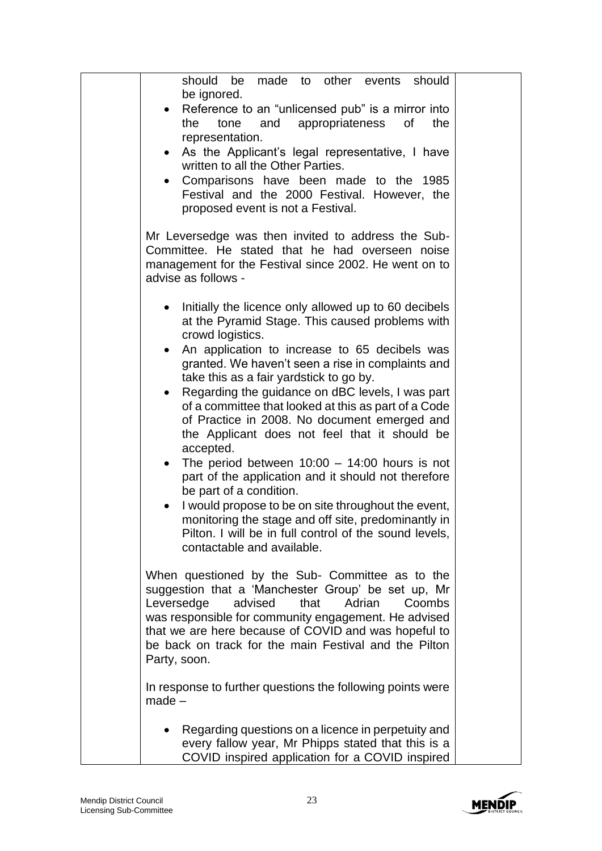| should be made to other events should<br>be ignored.                                                                                                                                                                                                                                                                                                |
|-----------------------------------------------------------------------------------------------------------------------------------------------------------------------------------------------------------------------------------------------------------------------------------------------------------------------------------------------------|
| Reference to an "unlicensed pub" is a mirror into                                                                                                                                                                                                                                                                                                   |
| the<br>tone<br>and<br>appropriateness<br>0f<br>the<br>representation.                                                                                                                                                                                                                                                                               |
| As the Applicant's legal representative, I have<br>written to all the Other Parties.                                                                                                                                                                                                                                                                |
| Comparisons have been made to the 1985<br>Festival and the 2000 Festival. However, the<br>proposed event is not a Festival.                                                                                                                                                                                                                         |
| Mr Leversedge was then invited to address the Sub-<br>Committee. He stated that he had overseen noise<br>management for the Festival since 2002. He went on to<br>advise as follows -                                                                                                                                                               |
| Initially the licence only allowed up to 60 decibels<br>at the Pyramid Stage. This caused problems with<br>crowd logistics.                                                                                                                                                                                                                         |
| An application to increase to 65 decibels was<br>$\bullet$<br>granted. We haven't seen a rise in complaints and<br>take this as a fair yardstick to go by.                                                                                                                                                                                          |
| Regarding the guidance on dBC levels, I was part<br>$\bullet$<br>of a committee that looked at this as part of a Code<br>of Practice in 2008. No document emerged and<br>the Applicant does not feel that it should be<br>accepted.                                                                                                                 |
| The period between $10:00 - 14:00$ hours is not<br>$\bullet$<br>part of the application and it should not therefore<br>be part of a condition.                                                                                                                                                                                                      |
| I would propose to be on site throughout the event,<br>$\bullet$<br>monitoring the stage and off site, predominantly in<br>Pilton. I will be in full control of the sound levels,<br>contactable and available.                                                                                                                                     |
| When questioned by the Sub- Committee as to the<br>suggestion that a 'Manchester Group' be set up, Mr<br>Leversedge<br>advised<br>that<br>Adrian<br>Coombs<br>was responsible for community engagement. He advised<br>that we are here because of COVID and was hopeful to<br>be back on track for the main Festival and the Pilton<br>Party, soon. |
| In response to further questions the following points were<br>$made -$                                                                                                                                                                                                                                                                              |
| Regarding questions on a licence in perpetuity and<br>every fallow year, Mr Phipps stated that this is a<br>COVID inspired application for a COVID inspired                                                                                                                                                                                         |

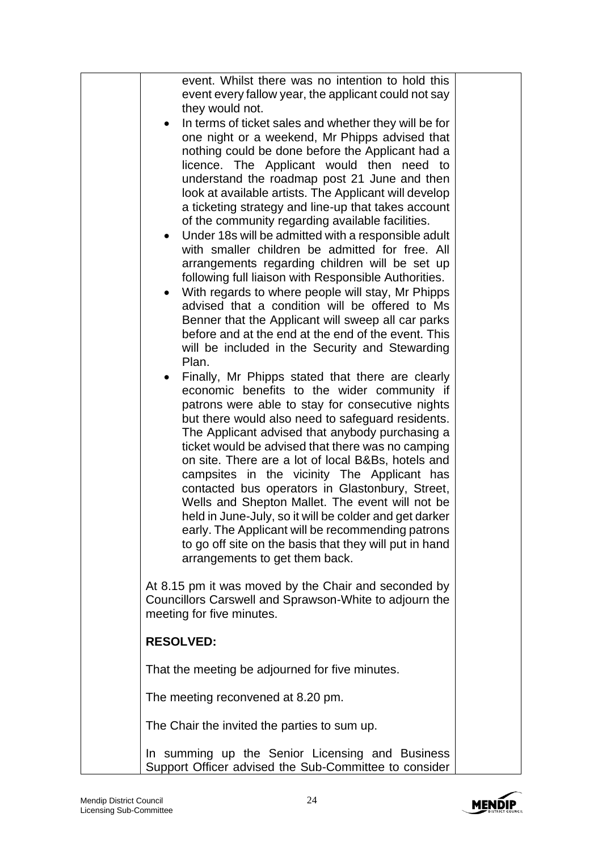| event. Whilst there was no intention to hold this<br>event every fallow year, the applicant could not say<br>they would not.<br>In terms of ticket sales and whether they will be for<br>$\bullet$<br>one night or a weekend, Mr Phipps advised that<br>nothing could be done before the Applicant had a<br>licence. The Applicant would then need to<br>understand the roadmap post 21 June and then<br>look at available artists. The Applicant will develop<br>a ticketing strategy and line-up that takes account<br>of the community regarding available facilities.<br>Under 18s will be admitted with a responsible adult<br>with smaller children be admitted for free. All<br>arrangements regarding children will be set up<br>following full liaison with Responsible Authorities.<br>With regards to where people will stay, Mr Phipps<br>$\bullet$<br>advised that a condition will be offered to Ms<br>Benner that the Applicant will sweep all car parks<br>before and at the end at the end of the event. This<br>will be included in the Security and Stewarding<br>Plan.<br>Finally, Mr Phipps stated that there are clearly<br>economic benefits to the wider community if<br>patrons were able to stay for consecutive nights<br>but there would also need to safeguard residents.<br>The Applicant advised that anybody purchasing a<br>ticket would be advised that there was no camping<br>on site. There are a lot of local B&Bs, hotels and<br>campsites in the vicinity The Applicant has<br>contacted bus operators in Glastonbury, Street,<br>Wells and Shepton Mallet. The event will not be<br>held in June-July, so it will be colder and get darker<br>early. The Applicant will be recommending patrons<br>to go off site on the basis that they will put in hand<br>arrangements to get them back.<br>At 8.15 pm it was moved by the Chair and seconded by |  |
|----------------------------------------------------------------------------------------------------------------------------------------------------------------------------------------------------------------------------------------------------------------------------------------------------------------------------------------------------------------------------------------------------------------------------------------------------------------------------------------------------------------------------------------------------------------------------------------------------------------------------------------------------------------------------------------------------------------------------------------------------------------------------------------------------------------------------------------------------------------------------------------------------------------------------------------------------------------------------------------------------------------------------------------------------------------------------------------------------------------------------------------------------------------------------------------------------------------------------------------------------------------------------------------------------------------------------------------------------------------------------------------------------------------------------------------------------------------------------------------------------------------------------------------------------------------------------------------------------------------------------------------------------------------------------------------------------------------------------------------------------------------------------------------------------------------------------------------------------------------------------------------------|--|
| Councillors Carswell and Sprawson-White to adjourn the<br>meeting for five minutes.                                                                                                                                                                                                                                                                                                                                                                                                                                                                                                                                                                                                                                                                                                                                                                                                                                                                                                                                                                                                                                                                                                                                                                                                                                                                                                                                                                                                                                                                                                                                                                                                                                                                                                                                                                                                          |  |
| <b>RESOLVED:</b>                                                                                                                                                                                                                                                                                                                                                                                                                                                                                                                                                                                                                                                                                                                                                                                                                                                                                                                                                                                                                                                                                                                                                                                                                                                                                                                                                                                                                                                                                                                                                                                                                                                                                                                                                                                                                                                                             |  |
| That the meeting be adjourned for five minutes.                                                                                                                                                                                                                                                                                                                                                                                                                                                                                                                                                                                                                                                                                                                                                                                                                                                                                                                                                                                                                                                                                                                                                                                                                                                                                                                                                                                                                                                                                                                                                                                                                                                                                                                                                                                                                                              |  |
| The meeting reconvened at 8.20 pm.                                                                                                                                                                                                                                                                                                                                                                                                                                                                                                                                                                                                                                                                                                                                                                                                                                                                                                                                                                                                                                                                                                                                                                                                                                                                                                                                                                                                                                                                                                                                                                                                                                                                                                                                                                                                                                                           |  |
| The Chair the invited the parties to sum up.                                                                                                                                                                                                                                                                                                                                                                                                                                                                                                                                                                                                                                                                                                                                                                                                                                                                                                                                                                                                                                                                                                                                                                                                                                                                                                                                                                                                                                                                                                                                                                                                                                                                                                                                                                                                                                                 |  |
| In summing up the Senior Licensing and Business<br>Support Officer advised the Sub-Committee to consider                                                                                                                                                                                                                                                                                                                                                                                                                                                                                                                                                                                                                                                                                                                                                                                                                                                                                                                                                                                                                                                                                                                                                                                                                                                                                                                                                                                                                                                                                                                                                                                                                                                                                                                                                                                     |  |

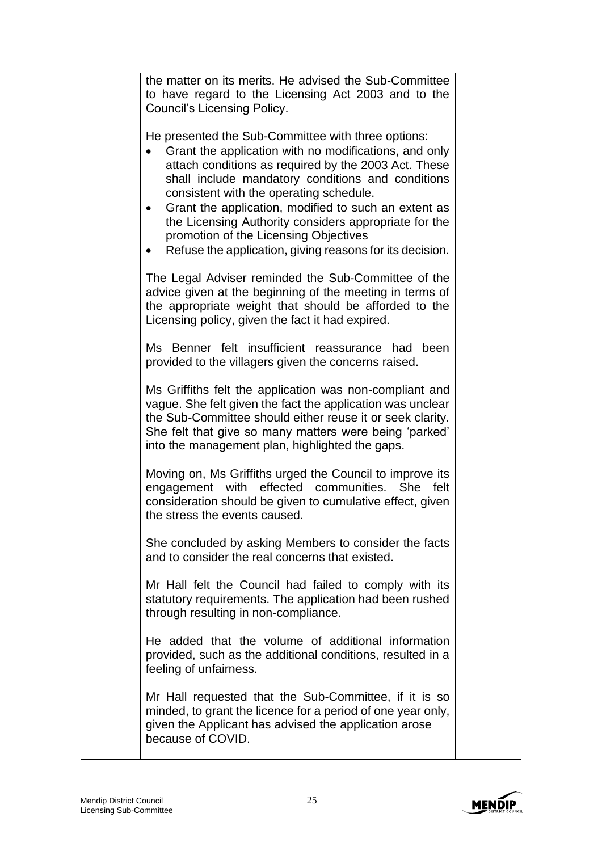| the matter on its merits. He advised the Sub-Committee<br>to have regard to the Licensing Act 2003 and to the<br><b>Council's Licensing Policy.</b>                                                                                                                                                                                                                                                                                                                                                         |  |
|-------------------------------------------------------------------------------------------------------------------------------------------------------------------------------------------------------------------------------------------------------------------------------------------------------------------------------------------------------------------------------------------------------------------------------------------------------------------------------------------------------------|--|
| He presented the Sub-Committee with three options:<br>Grant the application with no modifications, and only<br>attach conditions as required by the 2003 Act. These<br>shall include mandatory conditions and conditions<br>consistent with the operating schedule.<br>Grant the application, modified to such an extent as<br>$\bullet$<br>the Licensing Authority considers appropriate for the<br>promotion of the Licensing Objectives<br>Refuse the application, giving reasons for its decision.<br>٠ |  |
| The Legal Adviser reminded the Sub-Committee of the<br>advice given at the beginning of the meeting in terms of<br>the appropriate weight that should be afforded to the<br>Licensing policy, given the fact it had expired.                                                                                                                                                                                                                                                                                |  |
| Ms Benner felt insufficient reassurance had been<br>provided to the villagers given the concerns raised.                                                                                                                                                                                                                                                                                                                                                                                                    |  |
| Ms Griffiths felt the application was non-compliant and<br>vague. She felt given the fact the application was unclear<br>the Sub-Committee should either reuse it or seek clarity.<br>She felt that give so many matters were being 'parked'<br>into the management plan, highlighted the gaps.                                                                                                                                                                                                             |  |
| Moving on, Ms Griffiths urged the Council to improve its<br>engagement with effected communities. She<br>felt<br>consideration should be given to cumulative effect, given<br>the stress the events caused.                                                                                                                                                                                                                                                                                                 |  |
| She concluded by asking Members to consider the facts<br>and to consider the real concerns that existed.                                                                                                                                                                                                                                                                                                                                                                                                    |  |
| Mr Hall felt the Council had failed to comply with its<br>statutory requirements. The application had been rushed<br>through resulting in non-compliance.                                                                                                                                                                                                                                                                                                                                                   |  |
| He added that the volume of additional information<br>provided, such as the additional conditions, resulted in a<br>feeling of unfairness.                                                                                                                                                                                                                                                                                                                                                                  |  |
| Mr Hall requested that the Sub-Committee, if it is so<br>minded, to grant the licence for a period of one year only,<br>given the Applicant has advised the application arose<br>because of COVID.                                                                                                                                                                                                                                                                                                          |  |